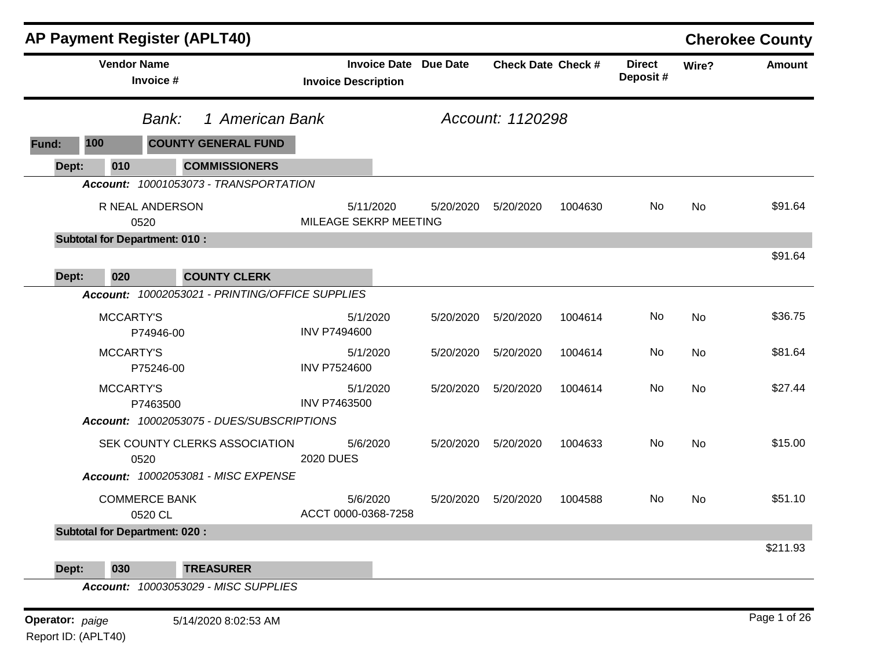|       |                    |                                      | <b>AP Payment Register (APLT40)</b>             |                                    |                              |                           |         |                           |           | <b>Cherokee County</b> |
|-------|--------------------|--------------------------------------|-------------------------------------------------|------------------------------------|------------------------------|---------------------------|---------|---------------------------|-----------|------------------------|
|       | <b>Vendor Name</b> | Invoice #                            |                                                 | <b>Invoice Description</b>         | <b>Invoice Date Due Date</b> | <b>Check Date Check #</b> |         | <b>Direct</b><br>Deposit# | Wire?     | <b>Amount</b>          |
|       |                    | Bank:                                | 1 American Bank                                 |                                    |                              | Account: 1120298          |         |                           |           |                        |
| Fund: | 100                |                                      | <b>COUNTY GENERAL FUND</b>                      |                                    |                              |                           |         |                           |           |                        |
| Dept: | 010                |                                      | <b>COMMISSIONERS</b>                            |                                    |                              |                           |         |                           |           |                        |
|       |                    |                                      | Account: 10001053073 - TRANSPORTATION           |                                    |                              |                           |         |                           |           |                        |
|       |                    | R NEAL ANDERSON<br>0520              |                                                 | 5/11/2020<br>MILEAGE SEKRP MEETING | 5/20/2020                    | 5/20/2020                 | 1004630 | No                        | <b>No</b> | \$91.64                |
|       |                    | <b>Subtotal for Department: 010:</b> |                                                 |                                    |                              |                           |         |                           |           |                        |
|       | 020                |                                      | <b>COUNTY CLERK</b>                             |                                    |                              |                           |         |                           |           | \$91.64                |
| Dept: |                    |                                      | Account: 10002053021 - PRINTING/OFFICE SUPPLIES |                                    |                              |                           |         |                           |           |                        |
|       | MCCARTY'S          | P74946-00                            |                                                 | 5/1/2020<br><b>INV P7494600</b>    | 5/20/2020                    | 5/20/2020                 | 1004614 | <b>No</b>                 | <b>No</b> | \$36.75                |
|       | <b>MCCARTY'S</b>   | P75246-00                            |                                                 | 5/1/2020<br><b>INV P7524600</b>    | 5/20/2020                    | 5/20/2020                 | 1004614 | No.                       | No        | \$81.64                |
|       | <b>MCCARTY'S</b>   | P7463500                             |                                                 | 5/1/2020<br><b>INV P7463500</b>    | 5/20/2020                    | 5/20/2020                 | 1004614 | No                        | <b>No</b> | \$27.44                |
|       |                    |                                      | Account: 10002053075 - DUES/SUBSCRIPTIONS       |                                    |                              |                           |         |                           |           |                        |
|       |                    | 0520                                 | SEK COUNTY CLERKS ASSOCIATION                   | 5/6/2020<br><b>2020 DUES</b>       | 5/20/2020                    | 5/20/2020                 | 1004633 | No.                       | <b>No</b> | \$15.00                |
|       |                    |                                      | Account: 10002053081 - MISC EXPENSE             |                                    |                              |                           |         |                           |           |                        |
|       |                    | <b>COMMERCE BANK</b><br>0520 CL      |                                                 | 5/6/2020<br>ACCT 0000-0368-7258    | 5/20/2020                    | 5/20/2020                 | 1004588 | No.                       | No        | \$51.10                |
|       |                    | <b>Subtotal for Department: 020:</b> |                                                 |                                    |                              |                           |         |                           |           |                        |
|       |                    |                                      |                                                 |                                    |                              |                           |         |                           |           | \$211.93               |
| Dept: | 030                |                                      | <b>TREASURER</b>                                |                                    |                              |                           |         |                           |           |                        |

*Account: 10003053029 - MISC SUPPLIES*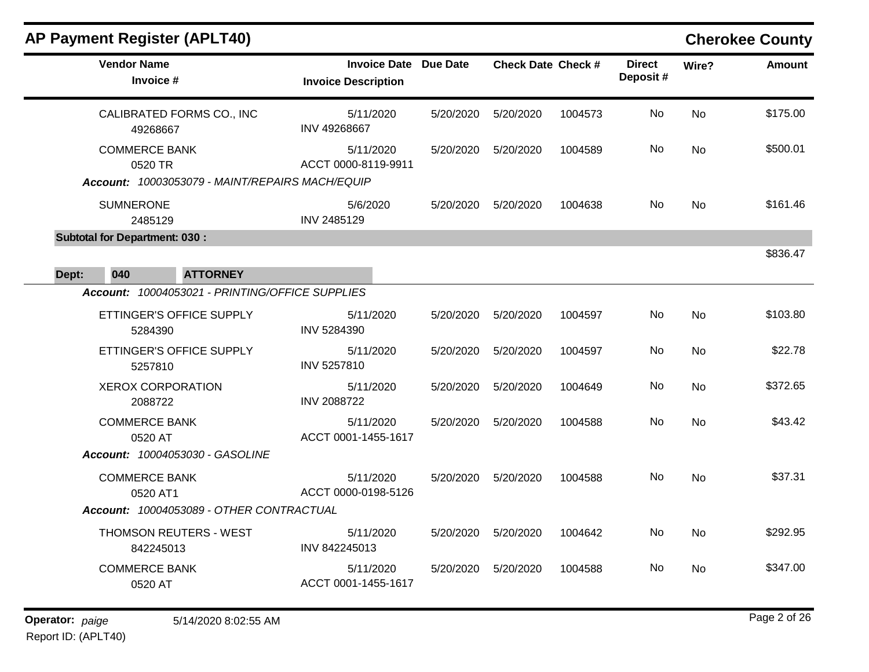|       | <b>AP Payment Register (APLT40)</b>      |                                                                        |                              |           |                           |         |                           |           | <b>Cherokee County</b> |
|-------|------------------------------------------|------------------------------------------------------------------------|------------------------------|-----------|---------------------------|---------|---------------------------|-----------|------------------------|
|       | <b>Vendor Name</b><br>Invoice #          | <b>Invoice Description</b>                                             | <b>Invoice Date Due Date</b> |           | <b>Check Date Check #</b> |         | <b>Direct</b><br>Deposit# | Wire?     | <b>Amount</b>          |
|       | CALIBRATED FORMS CO., INC<br>49268667    | INV 49268667                                                           | 5/11/2020                    | 5/20/2020 | 5/20/2020                 | 1004573 | No                        | <b>No</b> | \$175.00               |
|       | <b>COMMERCE BANK</b><br>0520 TR          | ACCT 0000-8119-9911<br>Account: 10003053079 - MAINT/REPAIRS MACH/EQUIP | 5/11/2020                    | 5/20/2020 | 5/20/2020                 | 1004589 | No.                       | <b>No</b> | \$500.01               |
|       | <b>SUMNERONE</b><br>2485129              | 5/6/2020<br>INV 2485129                                                |                              | 5/20/2020 | 5/20/2020                 | 1004638 | No                        | <b>No</b> | \$161.46               |
|       | <b>Subtotal for Department: 030:</b>     |                                                                        |                              |           |                           |         |                           |           |                        |
| Dept: | 040<br><b>ATTORNEY</b>                   |                                                                        |                              |           |                           |         |                           |           | \$836.47               |
|       |                                          | Account: 10004053021 - PRINTING/OFFICE SUPPLIES                        |                              |           |                           |         |                           |           |                        |
|       | ETTINGER'S OFFICE SUPPLY<br>5284390      | INV 5284390                                                            | 5/11/2020                    | 5/20/2020 | 5/20/2020                 | 1004597 | No                        | No        | \$103.80               |
|       | ETTINGER'S OFFICE SUPPLY<br>5257810      | INV 5257810                                                            | 5/11/2020                    | 5/20/2020 | 5/20/2020                 | 1004597 | No                        | No        | \$22.78                |
|       | <b>XEROX CORPORATION</b><br>2088722      | <b>INV 2088722</b>                                                     | 5/11/2020                    | 5/20/2020 | 5/20/2020                 | 1004649 | No                        | <b>No</b> | \$372.65               |
|       | <b>COMMERCE BANK</b><br>0520 AT          | ACCT 0001-1455-1617                                                    | 5/11/2020                    | 5/20/2020 | 5/20/2020                 | 1004588 | No.                       | No        | \$43.42                |
|       | Account: 10004053030 - GASOLINE          |                                                                        |                              |           |                           |         |                           |           |                        |
|       | <b>COMMERCE BANK</b><br>0520 AT1         | ACCT 0000-0198-5126                                                    | 5/11/2020                    | 5/20/2020 | 5/20/2020                 | 1004588 | No                        | <b>No</b> | \$37.31                |
|       | Account: 10004053089 - OTHER CONTRACTUAL |                                                                        |                              |           |                           |         |                           |           |                        |
|       | THOMSON REUTERS - WEST<br>842245013      | INV 842245013                                                          | 5/11/2020                    | 5/20/2020 | 5/20/2020                 | 1004642 | No                        | <b>No</b> | \$292.95               |
|       | <b>COMMERCE BANK</b><br>0520 AT          | ACCT 0001-1455-1617                                                    | 5/11/2020                    | 5/20/2020 | 5/20/2020                 | 1004588 | No                        | <b>No</b> | \$347.00               |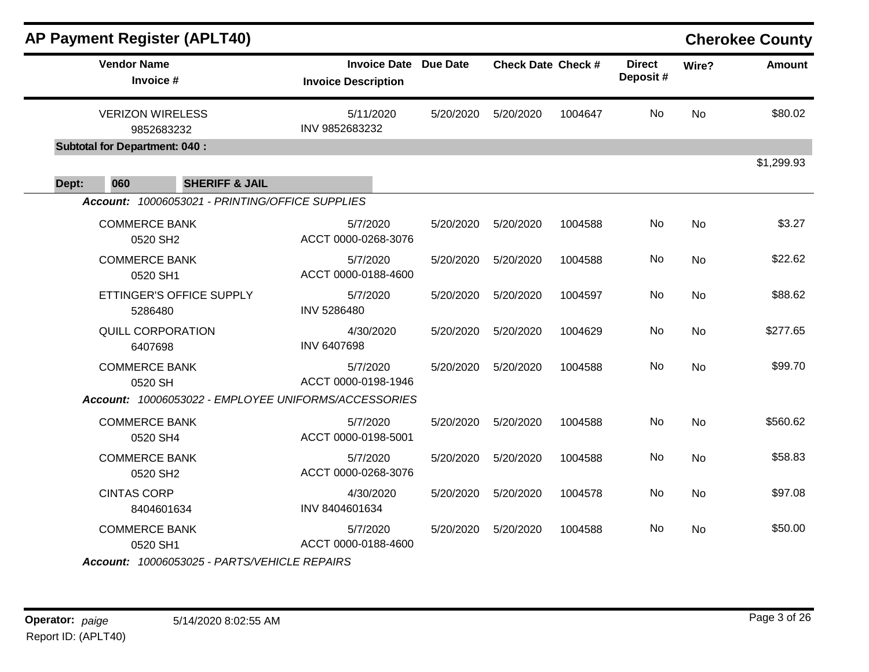|       |                                      | <b>AP Payment Register (APLT40)</b>             |                                                      |           |                           |         |                           |           | <b>Cherokee County</b> |
|-------|--------------------------------------|-------------------------------------------------|------------------------------------------------------|-----------|---------------------------|---------|---------------------------|-----------|------------------------|
|       | <b>Vendor Name</b><br>Invoice #      |                                                 | <b>Invoice Date</b><br><b>Invoice Description</b>    | Due Date  | <b>Check Date Check #</b> |         | <b>Direct</b><br>Deposit# | Wire?     | <b>Amount</b>          |
|       | <b>VERIZON WIRELESS</b>              | 9852683232                                      | 5/11/2020<br>INV 9852683232                          | 5/20/2020 | 5/20/2020                 | 1004647 | No                        | <b>No</b> | \$80.02                |
|       | <b>Subtotal for Department: 040:</b> |                                                 |                                                      |           |                           |         |                           |           |                        |
| Dept: | 060                                  | <b>SHERIFF &amp; JAIL</b>                       |                                                      |           |                           |         |                           |           | \$1,299.93             |
|       |                                      | Account: 10006053021 - PRINTING/OFFICE SUPPLIES |                                                      |           |                           |         |                           |           |                        |
|       | <b>COMMERCE BANK</b><br>0520 SH2     |                                                 | 5/7/2020<br>ACCT 0000-0268-3076                      | 5/20/2020 | 5/20/2020                 | 1004588 | No                        | <b>No</b> | \$3.27                 |
|       | <b>COMMERCE BANK</b><br>0520 SH1     |                                                 | 5/7/2020<br>ACCT 0000-0188-4600                      | 5/20/2020 | 5/20/2020                 | 1004588 | No                        | <b>No</b> | \$22.62                |
|       | 5286480                              | ETTINGER'S OFFICE SUPPLY                        | 5/7/2020<br><b>INV 5286480</b>                       | 5/20/2020 | 5/20/2020                 | 1004597 | No                        | <b>No</b> | \$88.62                |
|       | <b>QUILL CORPORATION</b><br>6407698  |                                                 | 4/30/2020<br><b>INV 6407698</b>                      | 5/20/2020 | 5/20/2020                 | 1004629 | No                        | <b>No</b> | \$277.65               |
|       | <b>COMMERCE BANK</b><br>0520 SH      |                                                 | 5/7/2020<br>ACCT 0000-0198-1946                      | 5/20/2020 | 5/20/2020                 | 1004588 | No                        | No        | \$99.70                |
|       |                                      |                                                 | Account: 10006053022 - EMPLOYEE UNIFORMS/ACCESSORIES |           |                           |         |                           |           |                        |
|       | <b>COMMERCE BANK</b><br>0520 SH4     |                                                 | 5/7/2020<br>ACCT 0000-0198-5001                      | 5/20/2020 | 5/20/2020                 | 1004588 | No                        | <b>No</b> | \$560.62               |
|       | <b>COMMERCE BANK</b><br>0520 SH2     |                                                 | 5/7/2020<br>ACCT 0000-0268-3076                      | 5/20/2020 | 5/20/2020                 | 1004588 | No                        | <b>No</b> | \$58.83                |
|       | <b>CINTAS CORP</b>                   | 8404601634                                      | 4/30/2020<br>INV 8404601634                          | 5/20/2020 | 5/20/2020                 | 1004578 | No                        | <b>No</b> | \$97.08                |
|       | <b>COMMERCE BANK</b><br>0520 SH1     |                                                 | 5/7/2020<br>ACCT 0000-0188-4600                      | 5/20/2020 | 5/20/2020                 | 1004588 | No                        | <b>No</b> | \$50.00                |
|       |                                      | Account: 10006053025 - PARTS/VEHICLE REPAIRS    |                                                      |           |                           |         |                           |           |                        |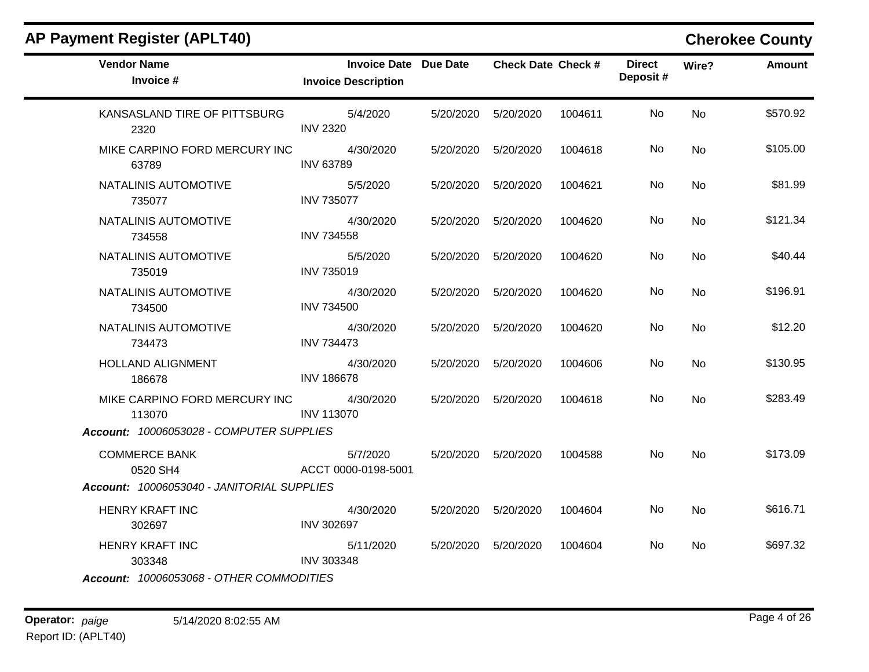| <b>AP Payment Register (APLT40)</b>        |                                                            |           |                           |         |                           |           | <b>Cherokee County</b> |
|--------------------------------------------|------------------------------------------------------------|-----------|---------------------------|---------|---------------------------|-----------|------------------------|
| <b>Vendor Name</b><br>Invoice #            | <b>Invoice Date Due Date</b><br><b>Invoice Description</b> |           | <b>Check Date Check #</b> |         | <b>Direct</b><br>Deposit# | Wire?     | <b>Amount</b>          |
| KANSASLAND TIRE OF PITTSBURG<br>2320       | 5/4/2020<br><b>INV 2320</b>                                | 5/20/2020 | 5/20/2020                 | 1004611 | No                        | <b>No</b> | \$570.92               |
| MIKE CARPINO FORD MERCURY INC<br>63789     | 4/30/2020<br><b>INV 63789</b>                              | 5/20/2020 | 5/20/2020                 | 1004618 | No                        | <b>No</b> | \$105.00               |
| NATALINIS AUTOMOTIVE<br>735077             | 5/5/2020<br><b>INV 735077</b>                              | 5/20/2020 | 5/20/2020                 | 1004621 | No                        | No        | \$81.99                |
| NATALINIS AUTOMOTIVE<br>734558             | 4/30/2020<br><b>INV 734558</b>                             | 5/20/2020 | 5/20/2020                 | 1004620 | No.                       | No.       | \$121.34               |
| NATALINIS AUTOMOTIVE<br>735019             | 5/5/2020<br><b>INV 735019</b>                              | 5/20/2020 | 5/20/2020                 | 1004620 | No                        | <b>No</b> | \$40.44                |
| NATALINIS AUTOMOTIVE<br>734500             | 4/30/2020<br><b>INV 734500</b>                             |           | 5/20/2020  5/20/2020      | 1004620 | No.                       | <b>No</b> | \$196.91               |
| NATALINIS AUTOMOTIVE<br>734473             | 4/30/2020<br><b>INV 734473</b>                             | 5/20/2020 | 5/20/2020                 | 1004620 | No                        | <b>No</b> | \$12.20                |
| <b>HOLLAND ALIGNMENT</b><br>186678         | 4/30/2020<br><b>INV 186678</b>                             | 5/20/2020 | 5/20/2020                 | 1004606 | No.                       | No        | \$130.95               |
| MIKE CARPINO FORD MERCURY INC<br>113070    | 4/30/2020<br><b>INV 113070</b>                             | 5/20/2020 | 5/20/2020                 | 1004618 | No.                       | <b>No</b> | \$283.49               |
| Account: 10006053028 - COMPUTER SUPPLIES   |                                                            |           |                           |         |                           |           |                        |
| <b>COMMERCE BANK</b><br>0520 SH4           | 5/7/2020<br>ACCT 0000-0198-5001                            |           | 5/20/2020   5/20/2020     | 1004588 | No                        | <b>No</b> | \$173.09               |
| Account: 10006053040 - JANITORIAL SUPPLIES |                                                            |           |                           |         |                           |           |                        |
| HENRY KRAFT INC<br>302697                  | 4/30/2020<br><b>INV 302697</b>                             | 5/20/2020 | 5/20/2020                 | 1004604 | No.                       | <b>No</b> | \$616.71               |
| <b>HENRY KRAFT INC</b><br>303348           | 5/11/2020<br><b>INV 303348</b>                             |           | 5/20/2020   5/20/2020     | 1004604 | No                        | No        | \$697.32               |
| Account: 10006053068 - OTHER COMMODITIES   |                                                            |           |                           |         |                           |           |                        |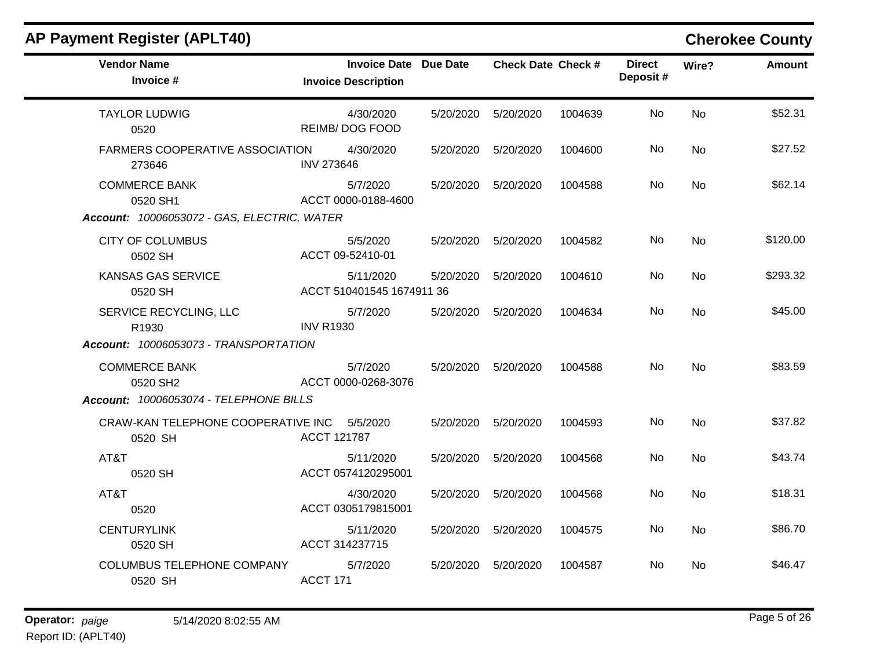| <b>AP Payment Register (APLT40)</b>                                               |                                                            |           |                           |         |                           |           | <b>Cherokee County</b> |
|-----------------------------------------------------------------------------------|------------------------------------------------------------|-----------|---------------------------|---------|---------------------------|-----------|------------------------|
| <b>Vendor Name</b><br>Invoice #                                                   | <b>Invoice Date Due Date</b><br><b>Invoice Description</b> |           | <b>Check Date Check #</b> |         | <b>Direct</b><br>Deposit# | Wire?     | <b>Amount</b>          |
| <b>TAYLOR LUDWIG</b><br>0520                                                      | 4/30/2020<br><b>REIMB/DOG FOOD</b>                         | 5/20/2020 | 5/20/2020                 | 1004639 | No                        | <b>No</b> | \$52.31                |
| FARMERS COOPERATIVE ASSOCIATION<br>273646                                         | 4/30/2020<br><b>INV 273646</b>                             | 5/20/2020 | 5/20/2020                 | 1004600 | No.                       | <b>No</b> | \$27.52                |
| <b>COMMERCE BANK</b><br>0520 SH1                                                  | 5/7/2020<br>ACCT 0000-0188-4600                            | 5/20/2020 | 5/20/2020                 | 1004588 | No.                       | <b>No</b> | \$62.14                |
| Account: 10006053072 - GAS, ELECTRIC, WATER<br><b>CITY OF COLUMBUS</b><br>0502 SH | 5/5/2020<br>ACCT 09-52410-01                               | 5/20/2020 | 5/20/2020                 | 1004582 | No                        | <b>No</b> | \$120.00               |
| KANSAS GAS SERVICE<br>0520 SH                                                     | 5/11/2020<br>ACCT 510401545 1674911 36                     | 5/20/2020 | 5/20/2020                 | 1004610 | No                        | No        | \$293.32               |
| SERVICE RECYCLING, LLC<br>R1930                                                   | 5/7/2020<br><b>INV R1930</b>                               | 5/20/2020 | 5/20/2020                 | 1004634 | No                        | <b>No</b> | \$45.00                |
| Account: 10006053073 - TRANSPORTATION                                             |                                                            |           |                           |         |                           |           |                        |
| <b>COMMERCE BANK</b><br>0520 SH2                                                  | 5/7/2020<br>ACCT 0000-0268-3076                            | 5/20/2020 | 5/20/2020                 | 1004588 | No                        | <b>No</b> | \$83.59                |
| Account: 10006053074 - TELEPHONE BILLS                                            |                                                            |           |                           |         |                           |           |                        |
| CRAW-KAN TELEPHONE COOPERATIVE INC<br>0520 SH                                     | 5/5/2020<br>ACCT 121787                                    | 5/20/2020 | 5/20/2020                 | 1004593 | No                        | <b>No</b> | \$37.82                |
| AT&T<br>0520 SH                                                                   | 5/11/2020<br>ACCT 0574120295001                            | 5/20/2020 | 5/20/2020                 | 1004568 | No                        | <b>No</b> | \$43.74                |
| AT&T<br>0520                                                                      | 4/30/2020<br>ACCT 0305179815001                            | 5/20/2020 | 5/20/2020                 | 1004568 | No                        | <b>No</b> | \$18.31                |
| <b>CENTURYLINK</b><br>0520 SH                                                     | 5/11/2020<br>ACCT 314237715                                | 5/20/2020 | 5/20/2020                 | 1004575 | No                        | <b>No</b> | \$86.70                |
| <b>COLUMBUS TELEPHONE COMPANY</b><br>0520 SH                                      | 5/7/2020<br>ACCT 171                                       | 5/20/2020 | 5/20/2020                 | 1004587 | No                        | No.       | \$46.47                |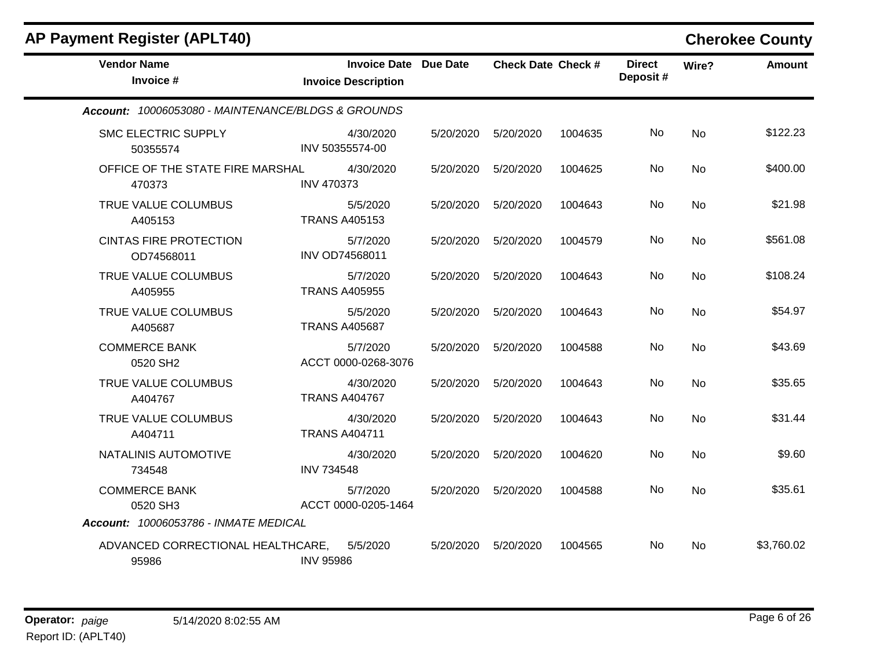| <b>AP Payment Register (APLT40)</b>                                       |                   |                                                            |           |                           |         |                           |           | <b>Cherokee County</b> |
|---------------------------------------------------------------------------|-------------------|------------------------------------------------------------|-----------|---------------------------|---------|---------------------------|-----------|------------------------|
| <b>Vendor Name</b><br>Invoice #                                           |                   | <b>Invoice Date Due Date</b><br><b>Invoice Description</b> |           | <b>Check Date Check #</b> |         | <b>Direct</b><br>Deposit# | Wire?     | <b>Amount</b>          |
| Account: 10006053080 - MAINTENANCE/BLDGS & GROUNDS                        |                   |                                                            |           |                           |         |                           |           |                        |
| <b>SMC ELECTRIC SUPPLY</b><br>50355574                                    |                   | 4/30/2020<br>INV 50355574-00                               | 5/20/2020 | 5/20/2020                 | 1004635 | No                        | <b>No</b> | \$122.23               |
| OFFICE OF THE STATE FIRE MARSHAL<br>470373                                | <b>INV 470373</b> | 4/30/2020                                                  | 5/20/2020 | 5/20/2020                 | 1004625 | No                        | No        | \$400.00               |
| TRUE VALUE COLUMBUS<br>A405153                                            |                   | 5/5/2020<br><b>TRANS A405153</b>                           | 5/20/2020 | 5/20/2020                 | 1004643 | No                        | <b>No</b> | \$21.98                |
| <b>CINTAS FIRE PROTECTION</b><br>OD74568011                               |                   | 5/7/2020<br>INV OD74568011                                 | 5/20/2020 | 5/20/2020                 | 1004579 | No                        | No        | \$561.08               |
| TRUE VALUE COLUMBUS<br>A405955                                            |                   | 5/7/2020<br><b>TRANS A405955</b>                           | 5/20/2020 | 5/20/2020                 | 1004643 | No                        | <b>No</b> | \$108.24               |
| TRUE VALUE COLUMBUS<br>A405687                                            |                   | 5/5/2020<br><b>TRANS A405687</b>                           | 5/20/2020 | 5/20/2020                 | 1004643 | No.                       | <b>No</b> | \$54.97                |
| <b>COMMERCE BANK</b><br>0520 SH2                                          |                   | 5/7/2020<br>ACCT 0000-0268-3076                            | 5/20/2020 | 5/20/2020                 | 1004588 | <b>No</b>                 | <b>No</b> | \$43.69                |
| TRUE VALUE COLUMBUS<br>A404767                                            |                   | 4/30/2020<br><b>TRANS A404767</b>                          | 5/20/2020 | 5/20/2020                 | 1004643 | No                        | <b>No</b> | \$35.65                |
| TRUE VALUE COLUMBUS<br>A404711                                            |                   | 4/30/2020<br><b>TRANS A404711</b>                          | 5/20/2020 | 5/20/2020                 | 1004643 | No                        | <b>No</b> | \$31.44                |
| NATALINIS AUTOMOTIVE<br>734548                                            | <b>INV 734548</b> | 4/30/2020                                                  | 5/20/2020 | 5/20/2020                 | 1004620 | No                        | <b>No</b> | \$9.60                 |
| <b>COMMERCE BANK</b><br>0520 SH3<br>Account: 10006053786 - INMATE MEDICAL |                   | 5/7/2020<br>ACCT 0000-0205-1464                            | 5/20/2020 | 5/20/2020                 | 1004588 | No                        | <b>No</b> | \$35.61                |
| ADVANCED CORRECTIONAL HEALTHCARE,<br>95986                                | <b>INV 95986</b>  | 5/5/2020                                                   | 5/20/2020 | 5/20/2020                 | 1004565 | No.                       | <b>No</b> | \$3,760.02             |

### **Operator:** paige 5/14/2020 8:02:55 AM **Page 6 of 26** *Page 6 of 26 Page 6 of 26* Report ID: (APLT40)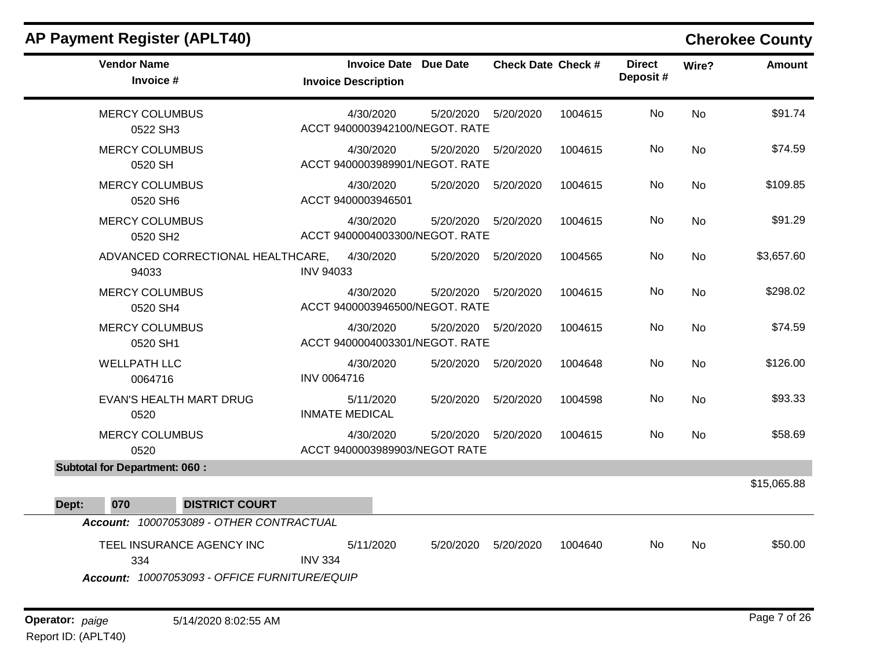### **AP Payment Register (APLT40) Cherokee County Vendor Name Invoice Date Due Date Check Date Invoice # Check Date Check # Invoice Description Direct Wire? Amount Deposit #** MERCY COLUMBUS  $0522$   $C<sub>122</sub>$ 4/30/2020 5/20/2020 5/20/2020 1004615 No \$91.74 ACCT 9400003942100/NEGOT. RATE No MERCY COLUMBUS No

| טווט ∠∠ט                                      |                    | AUUT 3400000942100/NLUUT.IMIL               |           |           |         |     |           |             |
|-----------------------------------------------|--------------------|---------------------------------------------|-----------|-----------|---------|-----|-----------|-------------|
| <b>MERCY COLUMBUS</b><br>0520 SH              |                    | 4/30/2020<br>ACCT 9400003989901/NEGOT, RATE | 5/20/2020 | 5/20/2020 | 1004615 | No  | <b>No</b> | \$74.59     |
| <b>MERCY COLUMBUS</b><br>0520 SH6             |                    | 4/30/2020<br>ACCT 9400003946501             | 5/20/2020 | 5/20/2020 | 1004615 | No  | <b>No</b> | \$109.85    |
| <b>MERCY COLUMBUS</b><br>0520 SH <sub>2</sub> |                    | 4/30/2020<br>ACCT 9400004003300/NEGOT. RATE | 5/20/2020 | 5/20/2020 | 1004615 | No  | No        | \$91.29     |
| ADVANCED CORRECTIONAL HEALTHCARE,<br>94033    | <b>INV 94033</b>   | 4/30/2020                                   | 5/20/2020 | 5/20/2020 | 1004565 | No  | <b>No</b> | \$3,657.60  |
| <b>MERCY COLUMBUS</b><br>0520 SH4             |                    | 4/30/2020<br>ACCT 9400003946500/NEGOT, RATE | 5/20/2020 | 5/20/2020 | 1004615 | No  | <b>No</b> | \$298.02    |
| <b>MERCY COLUMBUS</b><br>0520 SH1             |                    | 4/30/2020<br>ACCT 9400004003301/NEGOT. RATE | 5/20/2020 | 5/20/2020 | 1004615 | No. | <b>No</b> | \$74.59     |
| <b>WELLPATH LLC</b><br>0064716                | <b>INV 0064716</b> | 4/30/2020                                   | 5/20/2020 | 5/20/2020 | 1004648 | No  | <b>No</b> | \$126.00    |
| EVAN'S HEALTH MART DRUG<br>0520               |                    | 5/11/2020<br><b>INMATE MEDICAL</b>          | 5/20/2020 | 5/20/2020 | 1004598 | No  | <b>No</b> | \$93.33     |
| <b>MERCY COLUMBUS</b><br>0520                 |                    | 4/30/2020<br>ACCT 9400003989903/NEGOT RATE  | 5/20/2020 | 5/20/2020 | 1004615 | No. | No        | \$58.69     |
| <b>Subtotal for Department: 060:</b>          |                    |                                             |           |           |         |     |           |             |
|                                               |                    |                                             |           |           |         |     |           | \$15,065.88 |

| Dept:    | 070 | <b>DISTRICT COURT</b>           |           |           |           |         |    |    |
|----------|-----|---------------------------------|-----------|-----------|-----------|---------|----|----|
| Account: |     | 10007053089 - OTHER CONTRACTUAL |           |           |           |         |    |    |
|          |     | TEEL INSURANCE AGENCY INC       | 5/11/2020 | 5/20/2020 | 5/20/2020 | 1004640 | No | Nc |

TEEL INSURANCE AGENCY INC 334 5/11/2020 5/20/2020 5/20/2020 1004640 No \$50.00 INV 334

*Account: 10007053093 - OFFICE FURNITURE/EQUIP*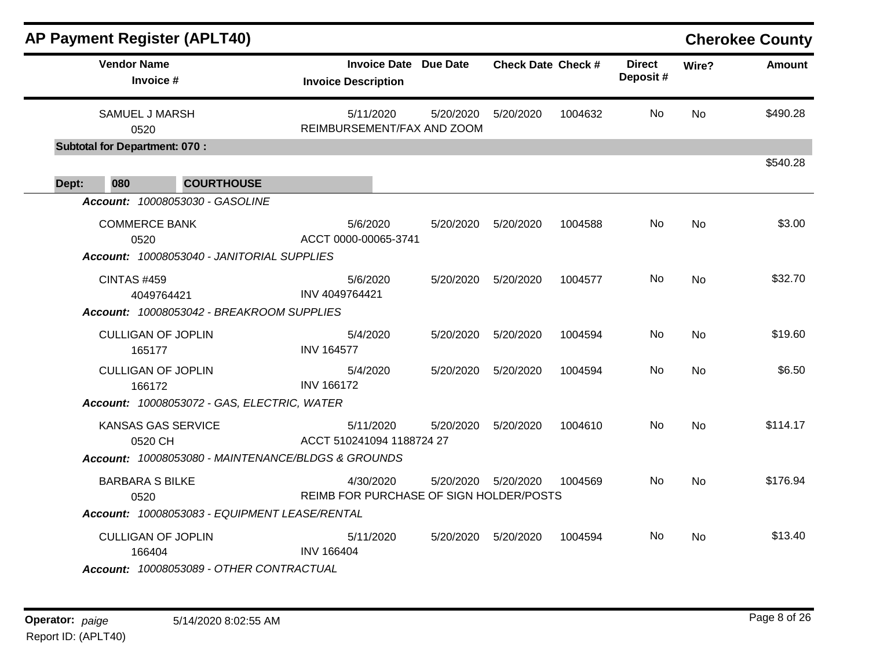|       |                    | <b>AP Payment Register (APLT40)</b>                                                 |                                                      |           |                           |         |                           |           | <b>Cherokee County</b> |
|-------|--------------------|-------------------------------------------------------------------------------------|------------------------------------------------------|-----------|---------------------------|---------|---------------------------|-----------|------------------------|
|       | <b>Vendor Name</b> | Invoice #                                                                           | Invoice Date Due Date<br><b>Invoice Description</b>  |           | <b>Check Date Check #</b> |         | <b>Direct</b><br>Deposit# | Wire?     | <b>Amount</b>          |
|       |                    | SAMUEL J MARSH<br>0520                                                              | 5/11/2020<br>REIMBURSEMENT/FAX AND ZOOM              | 5/20/2020 | 5/20/2020                 | 1004632 | No                        | <b>No</b> | \$490.28               |
| Dept: | 080                | <b>Subtotal for Department: 070:</b><br><b>COURTHOUSE</b>                           |                                                      |           |                           |         |                           |           | \$540.28               |
|       |                    | Account: 10008053030 - GASOLINE                                                     |                                                      |           |                           |         |                           |           |                        |
|       |                    | <b>COMMERCE BANK</b><br>0520<br>Account: 10008053040 - JANITORIAL SUPPLIES          | 5/6/2020<br>ACCT 0000-00065-3741                     | 5/20/2020 | 5/20/2020                 | 1004588 | No                        | <b>No</b> | \$3.00                 |
|       | <b>CINTAS #459</b> | 4049764421<br>Account: 10008053042 - BREAKROOM SUPPLIES                             | 5/6/2020<br>INV 4049764421                           | 5/20/2020 | 5/20/2020                 | 1004577 | No.                       | <b>No</b> | \$32.70                |
|       |                    | <b>CULLIGAN OF JOPLIN</b><br>165177                                                 | 5/4/2020<br><b>INV 164577</b>                        | 5/20/2020 | 5/20/2020                 | 1004594 | No.                       | <b>No</b> | \$19.60                |
|       |                    | <b>CULLIGAN OF JOPLIN</b><br>166172<br>Account: 10008053072 - GAS, ELECTRIC, WATER  | 5/4/2020<br><b>INV 166172</b>                        | 5/20/2020 | 5/20/2020                 | 1004594 | No                        | <b>No</b> | \$6.50                 |
|       |                    | KANSAS GAS SERVICE<br>0520 CH<br>Account: 10008053080 - MAINTENANCE/BLDGS & GROUNDS | 5/11/2020<br>ACCT 510241094 1188724 27               | 5/20/2020 | 5/20/2020                 | 1004610 | No.                       | <b>No</b> | \$114.17               |
|       |                    | <b>BARBARA S BILKE</b><br>0520<br>Account: 10008053083 - EQUIPMENT LEASE/RENTAL     | 4/30/2020<br>REIMB FOR PURCHASE OF SIGN HOLDER/POSTS | 5/20/2020 | 5/20/2020                 | 1004569 | No                        | <b>No</b> | \$176.94               |
|       |                    | <b>CULLIGAN OF JOPLIN</b><br>166404<br>Account: 10008053089 - OTHER CONTRACTUAL     | 5/11/2020<br><b>INV 166404</b>                       | 5/20/2020 | 5/20/2020                 | 1004594 | No.                       | No.       | \$13.40                |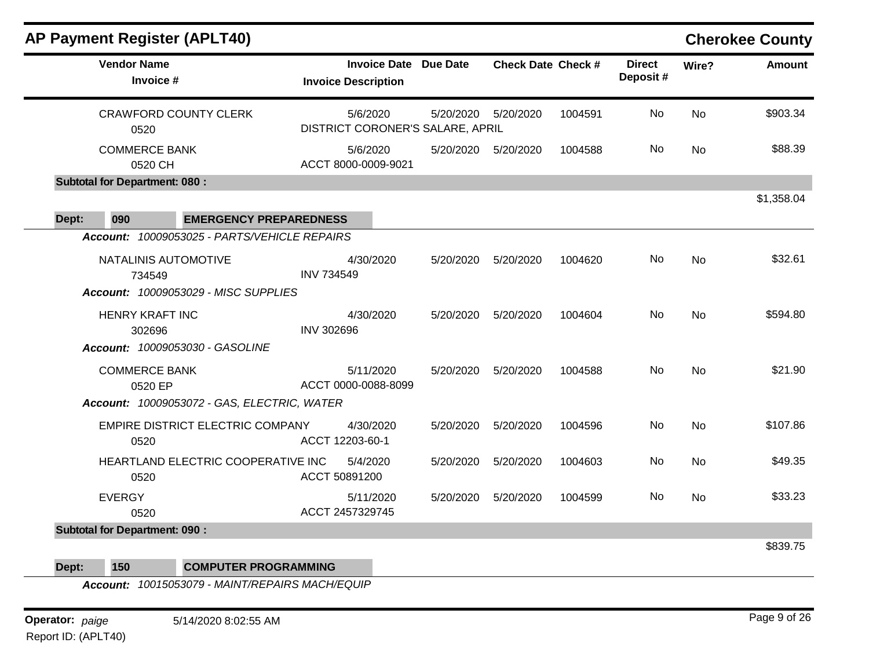| <b>AP Payment Register (APLT40)</b>           |                                                   |           |                           |         |                           |           | <b>Cherokee County</b> |
|-----------------------------------------------|---------------------------------------------------|-----------|---------------------------|---------|---------------------------|-----------|------------------------|
| <b>Vendor Name</b><br>Invoice #               | <b>Invoice Date</b><br><b>Invoice Description</b> | Due Date  | <b>Check Date Check #</b> |         | <b>Direct</b><br>Deposit# | Wire?     | <b>Amount</b>          |
| <b>CRAWFORD COUNTY CLERK</b><br>0520          | 5/6/2020<br>DISTRICT CORONER'S SALARE, APRIL      |           | 5/20/2020 5/20/2020       | 1004591 | No                        | <b>No</b> | \$903.34               |
| <b>COMMERCE BANK</b><br>0520 CH               | 5/6/2020<br>ACCT 8000-0009-9021                   |           | 5/20/2020 5/20/2020       | 1004588 | No                        | <b>No</b> | \$88.39                |
| <b>Subtotal for Department: 080:</b>          |                                                   |           |                           |         |                           |           |                        |
| 090<br><b>EMERGENCY PREPAREDNESS</b><br>Dept: |                                                   |           |                           |         |                           |           | \$1,358.04             |
| Account: 10009053025 - PARTS/VEHICLE REPAIRS  |                                                   |           |                           |         |                           |           |                        |
| NATALINIS AUTOMOTIVE<br>734549                | 4/30/2020<br><b>INV 734549</b>                    | 5/20/2020 | 5/20/2020                 | 1004620 | No                        | <b>No</b> | \$32.61                |
| Account: 10009053029 - MISC SUPPLIES          |                                                   |           |                           |         |                           |           |                        |
| HENRY KRAFT INC<br>302696                     | 4/30/2020<br><b>INV 302696</b>                    |           | 5/20/2020   5/20/2020     | 1004604 | No                        | <b>No</b> | \$594.80               |
| Account: 10009053030 - GASOLINE               |                                                   |           |                           |         |                           |           |                        |
| <b>COMMERCE BANK</b><br>0520 EP               | 5/11/2020<br>ACCT 0000-0088-8099                  | 5/20/2020 | 5/20/2020                 | 1004588 | No                        | <b>No</b> | \$21.90                |
| Account: 10009053072 - GAS, ELECTRIC, WATER   |                                                   |           |                           |         |                           |           |                        |
| EMPIRE DISTRICT ELECTRIC COMPANY<br>0520      | 4/30/2020<br>ACCT 12203-60-1                      | 5/20/2020 | 5/20/2020                 | 1004596 | No                        | <b>No</b> | \$107.86               |
| HEARTLAND ELECTRIC COOPERATIVE INC<br>0520    | 5/4/2020<br>ACCT 50891200                         | 5/20/2020 | 5/20/2020                 | 1004603 | No                        | <b>No</b> | \$49.35                |
| <b>EVERGY</b><br>0520                         | 5/11/2020<br>ACCT 2457329745                      | 5/20/2020 | 5/20/2020                 | 1004599 | No.                       | No        | \$33.23                |
| <b>Subtotal for Department: 090:</b>          |                                                   |           |                           |         |                           |           |                        |
|                                               |                                                   |           |                           |         |                           |           | \$839.75               |
|                                               |                                                   |           |                           |         |                           |           |                        |

**Dept: 150 COMPUTER PROGRAMMING**

*Account: 10015053079 - MAINT/REPAIRS MACH/EQUIP*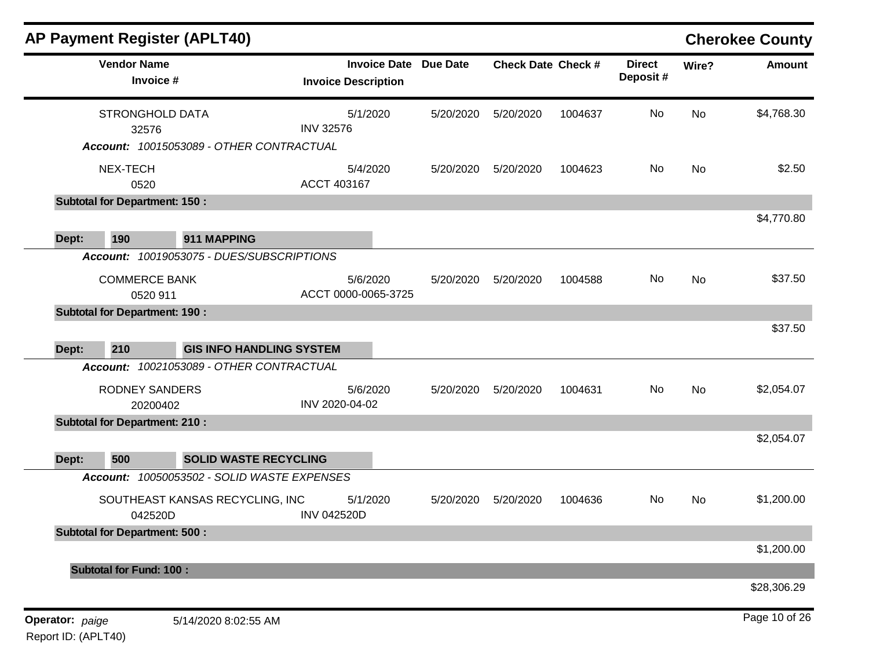|                 |                                      | <b>AP Payment Register (APLT40)</b>         |                                                   |                 |                           |         |                           |           | <b>Cherokee County</b> |
|-----------------|--------------------------------------|---------------------------------------------|---------------------------------------------------|-----------------|---------------------------|---------|---------------------------|-----------|------------------------|
|                 | <b>Vendor Name</b><br>Invoice #      |                                             | <b>Invoice Date</b><br><b>Invoice Description</b> | <b>Due Date</b> | <b>Check Date Check #</b> |         | <b>Direct</b><br>Deposit# | Wire?     | Amount                 |
|                 | <b>STRONGHOLD DATA</b><br>32576      |                                             | 5/1/2020<br><b>INV 32576</b>                      | 5/20/2020       | 5/20/2020                 | 1004637 | No                        | <b>No</b> | \$4,768.30             |
|                 |                                      | Account: 10015053089 - OTHER CONTRACTUAL    |                                                   |                 |                           |         |                           |           |                        |
|                 | NEX-TECH<br>0520                     |                                             | 5/4/2020<br>ACCT 403167                           | 5/20/2020       | 5/20/2020                 | 1004623 | No                        | <b>No</b> | \$2.50                 |
|                 | <b>Subtotal for Department: 150:</b> |                                             |                                                   |                 |                           |         |                           |           |                        |
| Dept:           | 190                                  | 911 MAPPING                                 |                                                   |                 |                           |         |                           |           | \$4,770.80             |
|                 |                                      | Account: 10019053075 - DUES/SUBSCRIPTIONS   |                                                   |                 |                           |         |                           |           |                        |
|                 | <b>COMMERCE BANK</b><br>0520 911     |                                             | 5/6/2020<br>ACCT 0000-0065-3725                   | 5/20/2020       | 5/20/2020                 | 1004588 | No                        | No        | \$37.50                |
|                 | <b>Subtotal for Department: 190:</b> |                                             |                                                   |                 |                           |         |                           |           |                        |
| Dept:           | 210                                  | <b>GIS INFO HANDLING SYSTEM</b>             |                                                   |                 |                           |         |                           |           | \$37.50                |
|                 |                                      | Account: 10021053089 - OTHER CONTRACTUAL    |                                                   |                 |                           |         |                           |           |                        |
|                 | <b>RODNEY SANDERS</b><br>20200402    |                                             | 5/6/2020<br>INV 2020-04-02                        | 5/20/2020       | 5/20/2020                 | 1004631 | No                        | <b>No</b> | \$2,054.07             |
|                 | <b>Subtotal for Department: 210:</b> |                                             |                                                   |                 |                           |         |                           |           |                        |
| Dept:           | 500                                  | <b>SOLID WASTE RECYCLING</b>                |                                                   |                 |                           |         |                           |           | \$2,054.07             |
|                 |                                      | Account: 10050053502 - SOLID WASTE EXPENSES |                                                   |                 |                           |         |                           |           |                        |
|                 | 042520D                              | SOUTHEAST KANSAS RECYCLING, INC             | 5/1/2020<br><b>INV 042520D</b>                    | 5/20/2020       | 5/20/2020                 | 1004636 | No                        | No        | \$1,200.00             |
|                 | <b>Subtotal for Department: 500:</b> |                                             |                                                   |                 |                           |         |                           |           |                        |
|                 | <b>Subtotal for Fund: 100:</b>       |                                             |                                                   |                 |                           |         |                           |           | \$1,200.00             |
|                 |                                      |                                             |                                                   |                 |                           |         |                           |           | \$28,306.29            |
| Operator: paige |                                      | 5/14/2020 8:02:55 AM                        |                                                   |                 |                           |         |                           |           | Page 10 of 26          |

Report ID: (APLT40)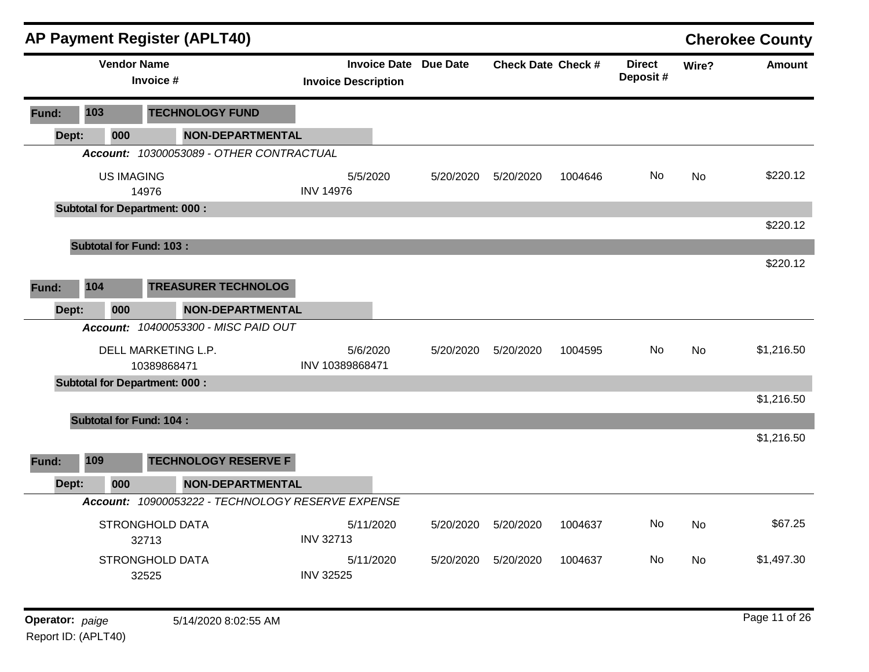|                 |                 | <b>AP Payment Register (APLT40)</b>      |                                                            |           |                           |         |                           |       | <b>Cherokee County</b> |
|-----------------|-----------------|------------------------------------------|------------------------------------------------------------|-----------|---------------------------|---------|---------------------------|-------|------------------------|
|                 |                 | <b>Vendor Name</b><br>Invoice #          | <b>Invoice Date Due Date</b><br><b>Invoice Description</b> |           | <b>Check Date Check #</b> |         | <b>Direct</b><br>Deposit# | Wire? | <b>Amount</b>          |
| Fund:           | 103             | <b>TECHNOLOGY FUND</b>                   |                                                            |           |                           |         |                           |       |                        |
| Dept:           | 000             | <b>NON-DEPARTMENTAL</b>                  |                                                            |           |                           |         |                           |       |                        |
|                 |                 | Account: 10300053089 - OTHER CONTRACTUAL |                                                            |           |                           |         |                           |       |                        |
|                 |                 | <b>US IMAGING</b><br>14976               | 5/5/2020<br><b>INV 14976</b>                               | 5/20/2020 | 5/20/2020                 | 1004646 | No                        | No    | \$220.12               |
|                 |                 | <b>Subtotal for Department: 000:</b>     |                                                            |           |                           |         |                           |       |                        |
|                 |                 |                                          |                                                            |           |                           |         |                           |       | \$220.12               |
|                 |                 | <b>Subtotal for Fund: 103:</b>           |                                                            |           |                           |         |                           |       |                        |
|                 |                 |                                          |                                                            |           |                           |         |                           |       | \$220.12               |
| Fund:           | 104             | <b>TREASURER TECHNOLOG</b>               |                                                            |           |                           |         |                           |       |                        |
| Dept:           | 000             | <b>NON-DEPARTMENTAL</b>                  |                                                            |           |                           |         |                           |       |                        |
|                 |                 | Account: 10400053300 - MISC PAID OUT     |                                                            |           |                           |         |                           |       |                        |
|                 |                 | DELL MARKETING L.P.<br>10389868471       | 5/6/2020<br>INV 10389868471                                | 5/20/2020 | 5/20/2020                 | 1004595 | No                        | No    | \$1,216.50             |
|                 |                 | <b>Subtotal for Department: 000:</b>     |                                                            |           |                           |         |                           |       |                        |
|                 |                 |                                          |                                                            |           |                           |         |                           |       | \$1,216.50             |
|                 |                 | <b>Subtotal for Fund: 104:</b>           |                                                            |           |                           |         |                           |       |                        |
|                 |                 |                                          |                                                            |           |                           |         |                           |       | \$1,216.50             |
| Fund:           | 109             | <b>TECHNOLOGY RESERVE F</b>              |                                                            |           |                           |         |                           |       |                        |
| Dept:           | 000             | <b>NON-DEPARTMENTAL</b>                  |                                                            |           |                           |         |                           |       |                        |
|                 | <b>Account:</b> | 10900053222 - TECHNOLOGY RESERVE EXPENSE |                                                            |           |                           |         |                           |       |                        |
|                 |                 | STRONGHOLD DATA<br>32713                 | 5/11/2020<br><b>INV 32713</b>                              | 5/20/2020 | 5/20/2020                 | 1004637 | No                        | No    | \$67.25                |
|                 |                 | STRONGHOLD DATA<br>32525                 | 5/11/2020<br><b>INV 32525</b>                              |           | 5/20/2020  5/20/2020      | 1004637 | No                        | No    | \$1,497.30             |
| Operator: paige |                 | 5/14/2020 8:02:55 AM                     |                                                            |           |                           |         |                           |       | Page 11 of 26          |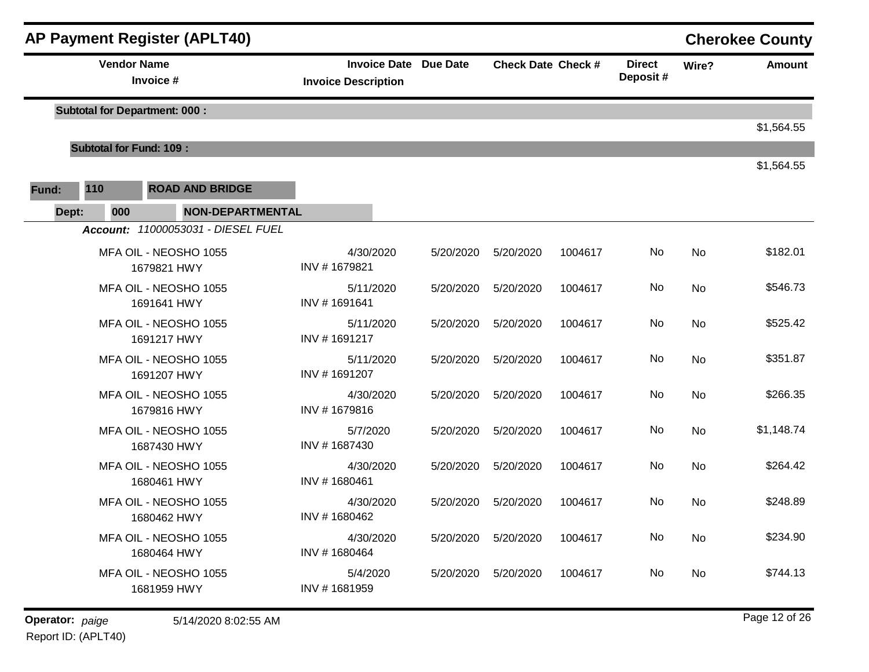|       |                                      | <b>AP Payment Register (APLT40)</b>  |                                                            |           |                           |         |                           |           | <b>Cherokee County</b> |
|-------|--------------------------------------|--------------------------------------|------------------------------------------------------------|-----------|---------------------------|---------|---------------------------|-----------|------------------------|
|       | <b>Vendor Name</b>                   | Invoice #                            | <b>Invoice Date Due Date</b><br><b>Invoice Description</b> |           | <b>Check Date Check #</b> |         | <b>Direct</b><br>Deposit# | Wire?     | <b>Amount</b>          |
|       |                                      | <b>Subtotal for Department: 000:</b> |                                                            |           |                           |         |                           |           | \$1,564.55             |
|       | <b>Subtotal for Fund: 109:</b>       |                                      |                                                            |           |                           |         |                           |           |                        |
| Fund: | 110                                  | <b>ROAD AND BRIDGE</b>               |                                                            |           |                           |         |                           |           | \$1,564.55             |
| Dept: | 000                                  | <b>NON-DEPARTMENTAL</b>              |                                                            |           |                           |         |                           |           |                        |
|       |                                      | Account: 11000053031 - DIESEL FUEL   |                                                            |           |                           |         |                           |           |                        |
|       |                                      | MFA OIL - NEOSHO 1055<br>1679821 HWY | 4/30/2020<br>INV #1679821                                  | 5/20/2020 | 5/20/2020                 | 1004617 | No                        | No        | \$182.01               |
|       |                                      | MFA OIL - NEOSHO 1055<br>1691641 HWY | 5/11/2020<br>INV #1691641                                  | 5/20/2020 | 5/20/2020                 | 1004617 | No                        | No        | \$546.73               |
|       |                                      | MFA OIL - NEOSHO 1055<br>1691217 HWY | 5/11/2020<br>INV #1691217                                  | 5/20/2020 | 5/20/2020                 | 1004617 | No                        | No        | \$525.42               |
|       |                                      | MFA OIL - NEOSHO 1055<br>1691207 HWY | 5/11/2020<br>INV #1691207                                  | 5/20/2020 | 5/20/2020                 | 1004617 | No                        | <b>No</b> | \$351.87               |
|       |                                      | MFA OIL - NEOSHO 1055<br>1679816 HWY | 4/30/2020<br>INV #1679816                                  | 5/20/2020 | 5/20/2020                 | 1004617 | No                        | No        | \$266.35               |
|       |                                      | MFA OIL - NEOSHO 1055<br>1687430 HWY | 5/7/2020<br>INV #1687430                                   | 5/20/2020 | 5/20/2020                 | 1004617 | No                        | No        | \$1,148.74             |
|       |                                      | MFA OIL - NEOSHO 1055<br>1680461 HWY | 4/30/2020<br>INV #1680461                                  | 5/20/2020 | 5/20/2020                 | 1004617 | No                        | No        | \$264.42               |
|       | MFA OIL - NEOSHO 1055<br>1680462 HWY |                                      | 4/30/2020<br>INV #1680462                                  | 5/20/2020 | 5/20/2020                 | 1004617 | No                        | <b>No</b> | \$248.89               |
|       | MFA OIL - NEOSHO 1055<br>1680464 HWY |                                      | 4/30/2020<br>INV #1680464                                  | 5/20/2020 | 5/20/2020                 | 1004617 | No                        | No        | \$234.90               |
|       |                                      | MFA OIL - NEOSHO 1055<br>1681959 HWY | 5/4/2020<br>INV #1681959                                   | 5/20/2020 | 5/20/2020                 | 1004617 | No                        | No        | \$744.13               |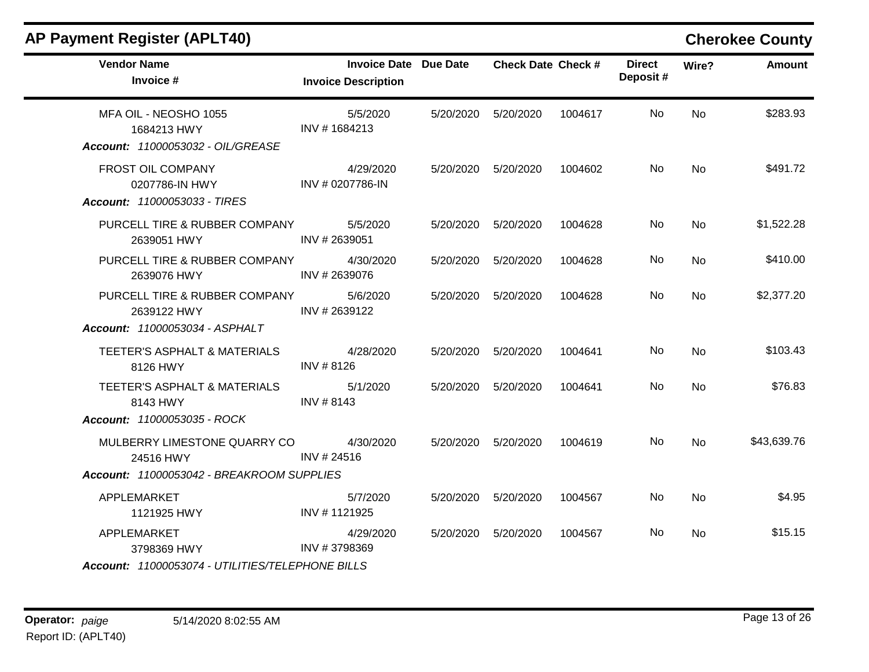| <b>Invoice Description</b>    | <b>Invoice Date Due Date</b>                                                                                                                                                 |           | <b>Check Date Check #</b> | <b>Direct</b><br>Deposit# | Wire?     | <b>Amount</b> |
|-------------------------------|------------------------------------------------------------------------------------------------------------------------------------------------------------------------------|-----------|---------------------------|---------------------------|-----------|---------------|
| 5/5/2020<br>INV #1684213      | 5/20/2020                                                                                                                                                                    | 5/20/2020 | 1004617                   | No                        | <b>No</b> | \$283.93      |
| 4/29/2020<br>INV # 0207786-IN | 5/20/2020                                                                                                                                                                    | 5/20/2020 | 1004602                   | No                        | <b>No</b> | \$491.72      |
| 5/5/2020<br>INV #2639051      | 5/20/2020                                                                                                                                                                    | 5/20/2020 | 1004628                   | <b>No</b>                 | No        | \$1,522.28    |
| 4/30/2020<br>INV # 2639076    | 5/20/2020                                                                                                                                                                    | 5/20/2020 | 1004628                   | No.                       | <b>No</b> | \$410.00      |
| 5/6/2020<br>INV # 2639122     | 5/20/2020                                                                                                                                                                    | 5/20/2020 | 1004628                   | <b>No</b>                 | <b>No</b> | \$2,377.20    |
| 4/28/2020<br>INV # 8126       | 5/20/2020                                                                                                                                                                    | 5/20/2020 | 1004641                   | No                        | <b>No</b> | \$103.43      |
| 5/1/2020<br>INV #8143         | 5/20/2020                                                                                                                                                                    | 5/20/2020 | 1004641                   | No                        | <b>No</b> | \$76.83       |
|                               |                                                                                                                                                                              |           |                           |                           |           |               |
| 4/30/2020<br>INV #24516       | 5/20/2020                                                                                                                                                                    | 5/20/2020 | 1004619                   | No                        | No        | \$43,639.76   |
|                               |                                                                                                                                                                              |           |                           |                           |           |               |
| 5/7/2020<br>INV #1121925      | 5/20/2020                                                                                                                                                                    | 5/20/2020 | 1004567                   | No                        | <b>No</b> | \$4.95        |
| 4/29/2020<br>INV #3798369     | 5/20/2020                                                                                                                                                                    | 5/20/2020 | 1004567                   | No                        | <b>No</b> | \$15.15       |
|                               | PURCELL TIRE & RUBBER COMPANY<br>PURCELL TIRE & RUBBER COMPANY<br>PURCELL TIRE & RUBBER COMPANY<br>MULBERRY LIMESTONE QUARRY CO<br>Account: 11000053042 - BREAKROOM SUPPLIES |           |                           |                           |           |               |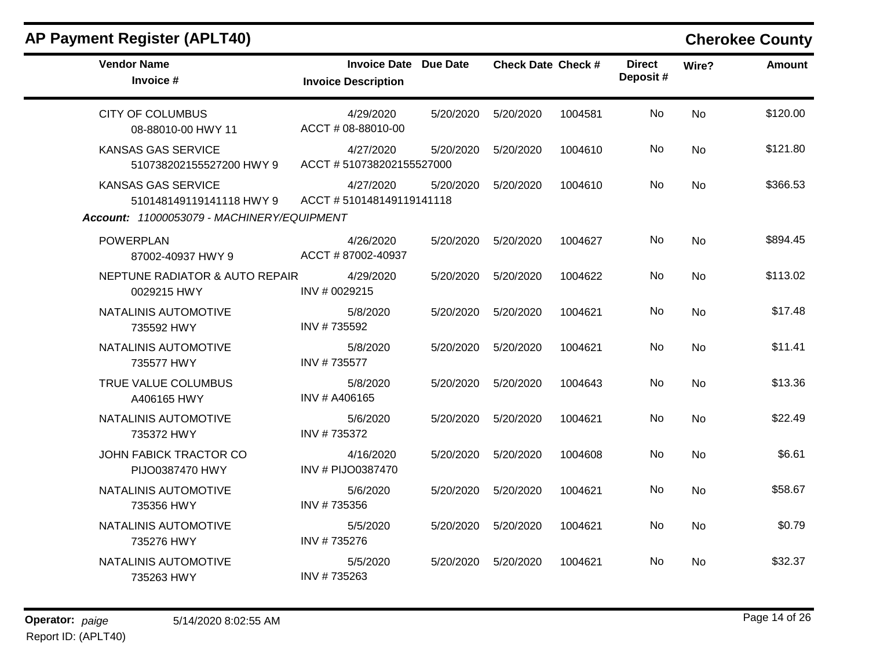| <b>Vendor Name</b><br>Invoice #                | <b>Invoice Date Due Date</b><br><b>Invoice Description</b> |           | <b>Check Date Check #</b> |         | <b>Direct</b><br>Deposit# | Wire?          | <b>Amount</b> |
|------------------------------------------------|------------------------------------------------------------|-----------|---------------------------|---------|---------------------------|----------------|---------------|
| <b>CITY OF COLUMBUS</b><br>08-88010-00 HWY 11  | 4/29/2020<br>ACCT # 08-88010-00                            | 5/20/2020 | 5/20/2020                 | 1004581 | No                        | <b>No</b>      | \$120.00      |
| KANSAS GAS SERVICE<br>510738202155527200 HWY 9 | 4/27/2020<br>ACCT #510738202155527000                      | 5/20/2020 | 5/20/2020                 | 1004610 | No.                       | No             | \$121.80      |
| KANSAS GAS SERVICE<br>510148149119141118 HWY 9 | 4/27/2020<br>ACCT #510148149119141118                      | 5/20/2020 | 5/20/2020                 | 1004610 | No                        | <b>No</b>      | \$366.53      |
| Account: 11000053079 - MACHINERY/EQUIPMENT     |                                                            |           |                           |         |                           |                |               |
| <b>POWERPLAN</b><br>87002-40937 HWY 9          | 4/26/2020<br>ACCT #87002-40937                             | 5/20/2020 | 5/20/2020                 | 1004627 | No.                       | <b>No</b>      | \$894.45      |
| NEPTUNE RADIATOR & AUTO REPAIR<br>0029215 HWY  | 4/29/2020<br>INV # 0029215                                 | 5/20/2020 | 5/20/2020                 | 1004622 | No.                       | <b>No</b>      | \$113.02      |
| NATALINIS AUTOMOTIVE<br>735592 HWY             | 5/8/2020<br>INV #735592                                    | 5/20/2020 | 5/20/2020                 | 1004621 | No                        | No             | \$17.48       |
| NATALINIS AUTOMOTIVE<br>735577 HWY             | 5/8/2020<br>INV #735577                                    | 5/20/2020 | 5/20/2020                 | 1004621 | No.                       | No             | \$11.41       |
| TRUE VALUE COLUMBUS<br>A406165 HWY             | 5/8/2020<br>INV # A406165                                  | 5/20/2020 | 5/20/2020                 | 1004643 | No                        | <b>No</b>      | \$13.36       |
| NATALINIS AUTOMOTIVE<br>735372 HWY             | 5/6/2020<br>INV #735372                                    | 5/20/2020 | 5/20/2020                 | 1004621 | No.                       | No             | \$22.49       |
| JOHN FABICK TRACTOR CO<br>PIJO0387470 HWY      | 4/16/2020<br>INV # PIJO0387470                             | 5/20/2020 | 5/20/2020                 | 1004608 | No                        | No             | \$6.61        |
| NATALINIS AUTOMOTIVE<br>735356 HWY             | 5/6/2020<br>INV #735356                                    | 5/20/2020 | 5/20/2020                 | 1004621 | No                        | N <sub>0</sub> | \$58.67       |
| NATALINIS AUTOMOTIVE<br>735276 HWY             | 5/5/2020<br>INV #735276                                    | 5/20/2020 | 5/20/2020                 | 1004621 | No.                       | <b>No</b>      | \$0.79        |
| NATALINIS AUTOMOTIVE<br>735263 HWY             | 5/5/2020<br>INV #735263                                    | 5/20/2020 | 5/20/2020                 | 1004621 | No.                       | No             | \$32.37       |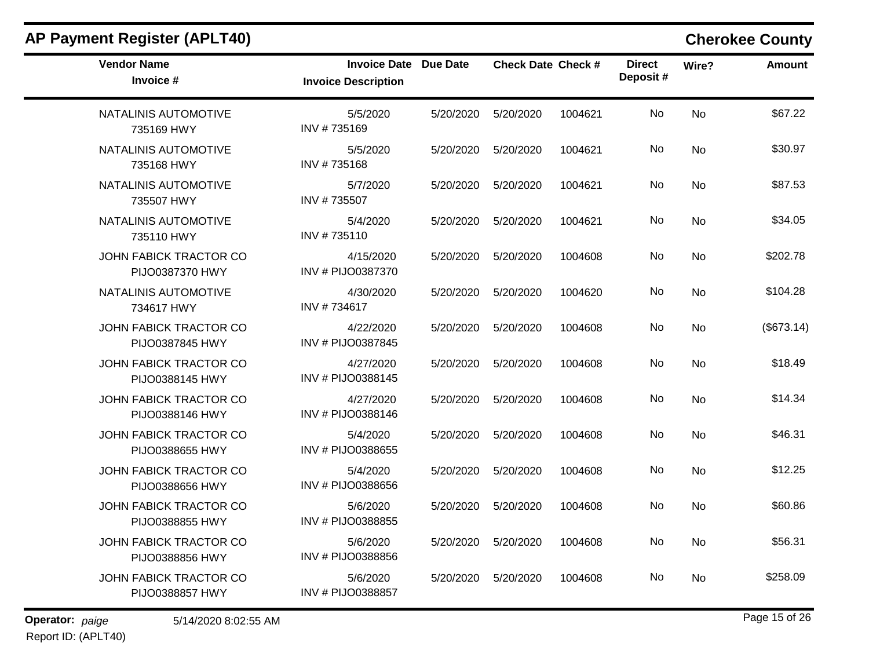| <b>Vendor Name</b><br>Invoice #                  | Invoice Date Due Date<br><b>Invoice Description</b> |           | <b>Check Date Check #</b> |         | <b>Direct</b><br>Deposit# | Wire?     | <b>Amount</b> |
|--------------------------------------------------|-----------------------------------------------------|-----------|---------------------------|---------|---------------------------|-----------|---------------|
| NATALINIS AUTOMOTIVE<br>735169 HWY               | 5/5/2020<br>INV #735169                             | 5/20/2020 | 5/20/2020                 | 1004621 | <b>No</b>                 | <b>No</b> | \$67.22       |
| NATALINIS AUTOMOTIVE<br>735168 HWY               | 5/5/2020<br>INV #735168                             | 5/20/2020 | 5/20/2020                 | 1004621 | No                        | No        | \$30.97       |
| NATALINIS AUTOMOTIVE<br>735507 HWY               | 5/7/2020<br>INV #735507                             | 5/20/2020 | 5/20/2020                 | 1004621 | No                        | <b>No</b> | \$87.53       |
| NATALINIS AUTOMOTIVE<br>735110 HWY               | 5/4/2020<br>INV #735110                             | 5/20/2020 | 5/20/2020                 | 1004621 | No                        | <b>No</b> | \$34.05       |
| JOHN FABICK TRACTOR CO<br>PIJO0387370 HWY        | 4/15/2020<br>INV # PIJO0387370                      | 5/20/2020 | 5/20/2020                 | 1004608 | No.                       | No        | \$202.78      |
| NATALINIS AUTOMOTIVE<br>734617 HWY               | 4/30/2020<br>INV #734617                            | 5/20/2020 | 5/20/2020                 | 1004620 | <b>No</b>                 | No        | \$104.28      |
| JOHN FABICK TRACTOR CO<br>PIJO0387845 HWY        | 4/22/2020<br>INV # PIJO0387845                      | 5/20/2020 | 5/20/2020                 | 1004608 | No                        | No        | (\$673.14)    |
| JOHN FABICK TRACTOR CO<br>PIJO0388145 HWY        | 4/27/2020<br>INV # PIJO0388145                      | 5/20/2020 | 5/20/2020                 | 1004608 | No                        | <b>No</b> | \$18.49       |
| <b>JOHN FABICK TRACTOR CO</b><br>PIJO0388146 HWY | 4/27/2020<br>INV # PIJO0388146                      | 5/20/2020 | 5/20/2020                 | 1004608 | No                        | <b>No</b> | \$14.34       |
| JOHN FABICK TRACTOR CO<br>PIJO0388655 HWY        | 5/4/2020<br>INV # PIJO0388655                       | 5/20/2020 | 5/20/2020                 | 1004608 | No                        | <b>No</b> | \$46.31       |
| JOHN FABICK TRACTOR CO<br>PIJO0388656 HWY        | 5/4/2020<br>INV # PIJO0388656                       | 5/20/2020 | 5/20/2020                 | 1004608 | No                        | No        | \$12.25       |
| JOHN FABICK TRACTOR CO<br>PIJO0388855 HWY        | 5/6/2020<br>INV # PIJO0388855                       | 5/20/2020 | 5/20/2020                 | 1004608 | No                        | No        | \$60.86       |
| <b>JOHN FABICK TRACTOR CO</b><br>PIJO0388856 HWY | 5/6/2020<br>INV # PIJO0388856                       | 5/20/2020 | 5/20/2020                 | 1004608 | No                        | No        | \$56.31       |
| JOHN FABICK TRACTOR CO<br>PIJO0388857 HWY        | 5/6/2020<br>INV # PIJO0388857                       | 5/20/2020 | 5/20/2020                 | 1004608 | No                        | No        | \$258.09      |
|                                                  |                                                     |           |                           |         |                           |           |               |

**Operator:** paige 5/14/2020 8:02:55 AM **Page 15** of 26 Report ID: (APLT40)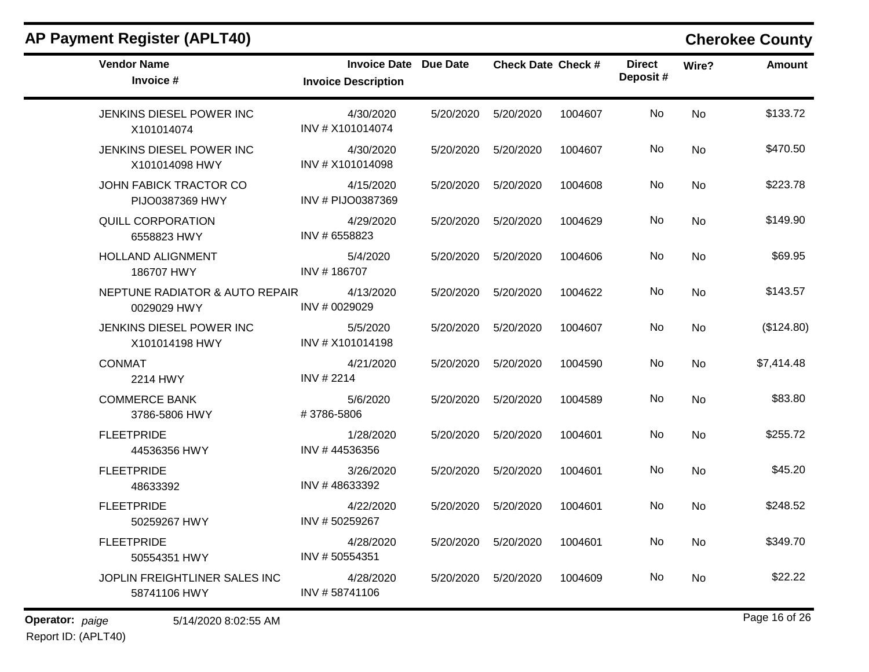|                 | <b>AP Payment Register (APLT40)</b>           |                                                            |           |                           |         |                           |           | <b>Cherokee County</b> |
|-----------------|-----------------------------------------------|------------------------------------------------------------|-----------|---------------------------|---------|---------------------------|-----------|------------------------|
|                 | <b>Vendor Name</b><br>Invoice #               | <b>Invoice Date Due Date</b><br><b>Invoice Description</b> |           | <b>Check Date Check #</b> |         | <b>Direct</b><br>Deposit# | Wire?     | <b>Amount</b>          |
|                 | JENKINS DIESEL POWER INC<br>X101014074        | 4/30/2020<br>INV # X101014074                              | 5/20/2020 | 5/20/2020                 | 1004607 | No                        | <b>No</b> | \$133.72               |
|                 | JENKINS DIESEL POWER INC<br>X101014098 HWY    | 4/30/2020<br>INV # X101014098                              | 5/20/2020 | 5/20/2020                 | 1004607 | No                        | <b>No</b> | \$470.50               |
|                 | JOHN FABICK TRACTOR CO<br>PIJO0387369 HWY     | 4/15/2020<br>INV # PIJO0387369                             | 5/20/2020 | 5/20/2020                 | 1004608 | No                        | <b>No</b> | \$223.78               |
|                 | <b>QUILL CORPORATION</b><br>6558823 HWY       | 4/29/2020<br>INV # 6558823                                 | 5/20/2020 | 5/20/2020                 | 1004629 | No                        | <b>No</b> | \$149.90               |
|                 | <b>HOLLAND ALIGNMENT</b><br>186707 HWY        | 5/4/2020<br>INV #186707                                    | 5/20/2020 | 5/20/2020                 | 1004606 | No                        | <b>No</b> | \$69.95                |
|                 | NEPTUNE RADIATOR & AUTO REPAIR<br>0029029 HWY | 4/13/2020<br>INV # 0029029                                 | 5/20/2020 | 5/20/2020                 | 1004622 | No                        | <b>No</b> | \$143.57               |
|                 | JENKINS DIESEL POWER INC<br>X101014198 HWY    | 5/5/2020<br>INV # X101014198                               | 5/20/2020 | 5/20/2020                 | 1004607 | No                        | <b>No</b> | (\$124.80)             |
|                 | <b>CONMAT</b><br>2214 HWY                     | 4/21/2020<br>INV # 2214                                    | 5/20/2020 | 5/20/2020                 | 1004590 | No                        | <b>No</b> | \$7,414.48             |
|                 | <b>COMMERCE BANK</b><br>3786-5806 HWY         | 5/6/2020<br>#3786-5806                                     | 5/20/2020 | 5/20/2020                 | 1004589 | No                        | <b>No</b> | \$83.80                |
|                 | <b>FLEETPRIDE</b><br>44536356 HWY             | 1/28/2020<br>INV #44536356                                 | 5/20/2020 | 5/20/2020                 | 1004601 | No                        | <b>No</b> | \$255.72               |
|                 | <b>FLEETPRIDE</b><br>48633392                 | 3/26/2020<br>INV #48633392                                 | 5/20/2020 | 5/20/2020                 | 1004601 | No                        | <b>No</b> | \$45.20                |
|                 | <b>FLEETPRIDE</b><br>50259267 HWY             | 4/22/2020<br>INV #50259267                                 | 5/20/2020 | 5/20/2020                 | 1004601 | No                        | <b>No</b> | \$248.52               |
|                 | <b>FLEETPRIDE</b><br>50554351 HWY             | 4/28/2020<br>INV #50554351                                 |           | 5/20/2020   5/20/2020     | 1004601 | No                        | <b>No</b> | \$349.70               |
|                 | JOPLIN FREIGHTLINER SALES INC<br>58741106 HWY | 4/28/2020<br>INV #58741106                                 | 5/20/2020 | 5/20/2020                 | 1004609 | No                        | No        | \$22.22                |
| Operator: paige | 5/14/2020 8:02:55 AM                          |                                                            |           |                           |         |                           |           | Page 16 of 26          |

Report ID: (APLT40)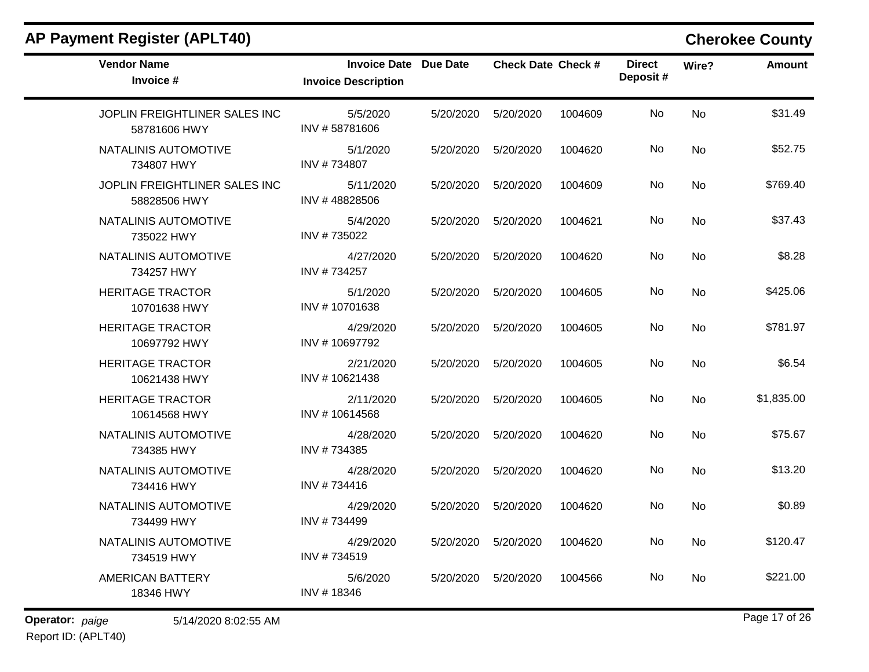|  | <b>AP Payment Register (APLT40)</b> |  |
|--|-------------------------------------|--|
|--|-------------------------------------|--|

## **Cherokee County**

| <b>Vendor Name</b><br>Invoice #               | <b>Invoice Date Due Date</b><br><b>Invoice Description</b> |           | <b>Check Date Check #</b> |         | <b>Direct</b><br>Deposit# | Wire?     | <b>Amount</b> |
|-----------------------------------------------|------------------------------------------------------------|-----------|---------------------------|---------|---------------------------|-----------|---------------|
| JOPLIN FREIGHTLINER SALES INC<br>58781606 HWY | 5/5/2020<br>INV #58781606                                  | 5/20/2020 | 5/20/2020                 | 1004609 | No.                       | <b>No</b> | \$31.49       |
| NATALINIS AUTOMOTIVE<br>734807 HWY            | 5/1/2020<br>INV #734807                                    | 5/20/2020 | 5/20/2020                 | 1004620 | No                        | No        | \$52.75       |
| JOPLIN FREIGHTLINER SALES INC<br>58828506 HWY | 5/11/2020<br>INV #48828506                                 | 5/20/2020 | 5/20/2020                 | 1004609 | No.                       | <b>No</b> | \$769.40      |
| NATALINIS AUTOMOTIVE<br>735022 HWY            | 5/4/2020<br>INV #735022                                    | 5/20/2020 | 5/20/2020                 | 1004621 | No                        | <b>No</b> | \$37.43       |
| NATALINIS AUTOMOTIVE<br>734257 HWY            | 4/27/2020<br>INV #734257                                   | 5/20/2020 | 5/20/2020                 | 1004620 | No.                       | No        | \$8.28        |
| <b>HERITAGE TRACTOR</b><br>10701638 HWY       | 5/1/2020<br>INV #10701638                                  | 5/20/2020 | 5/20/2020                 | 1004605 | No                        | <b>No</b> | \$425.06      |
| <b>HERITAGE TRACTOR</b><br>10697792 HWY       | 4/29/2020<br>INV #10697792                                 | 5/20/2020 | 5/20/2020                 | 1004605 | No                        | <b>No</b> | \$781.97      |
| <b>HERITAGE TRACTOR</b><br>10621438 HWY       | 2/21/2020<br>INV #10621438                                 | 5/20/2020 | 5/20/2020                 | 1004605 | No                        | <b>No</b> | \$6.54        |
| <b>HERITAGE TRACTOR</b><br>10614568 HWY       | 2/11/2020<br>INV #10614568                                 | 5/20/2020 | 5/20/2020                 | 1004605 | No                        | <b>No</b> | \$1,835.00    |
| NATALINIS AUTOMOTIVE<br>734385 HWY            | 4/28/2020<br>INV #734385                                   | 5/20/2020 | 5/20/2020                 | 1004620 | No.                       | No        | \$75.67       |
| NATALINIS AUTOMOTIVE<br>734416 HWY            | 4/28/2020<br>INV #734416                                   | 5/20/2020 | 5/20/2020                 | 1004620 | No.                       | No        | \$13.20       |
| NATALINIS AUTOMOTIVE<br>734499 HWY            | 4/29/2020<br>INV #734499                                   | 5/20/2020 | 5/20/2020                 | 1004620 | No                        | No.       | \$0.89        |
| NATALINIS AUTOMOTIVE<br>734519 HWY            | 4/29/2020<br>INV #734519                                   | 5/20/2020 | 5/20/2020                 | 1004620 | No.                       | No        | \$120.47      |
| <b>AMERICAN BATTERY</b><br>18346 HWY          | 5/6/2020<br>INV #18346                                     | 5/20/2020 | 5/20/2020                 | 1004566 | No.                       | No        | \$221.00      |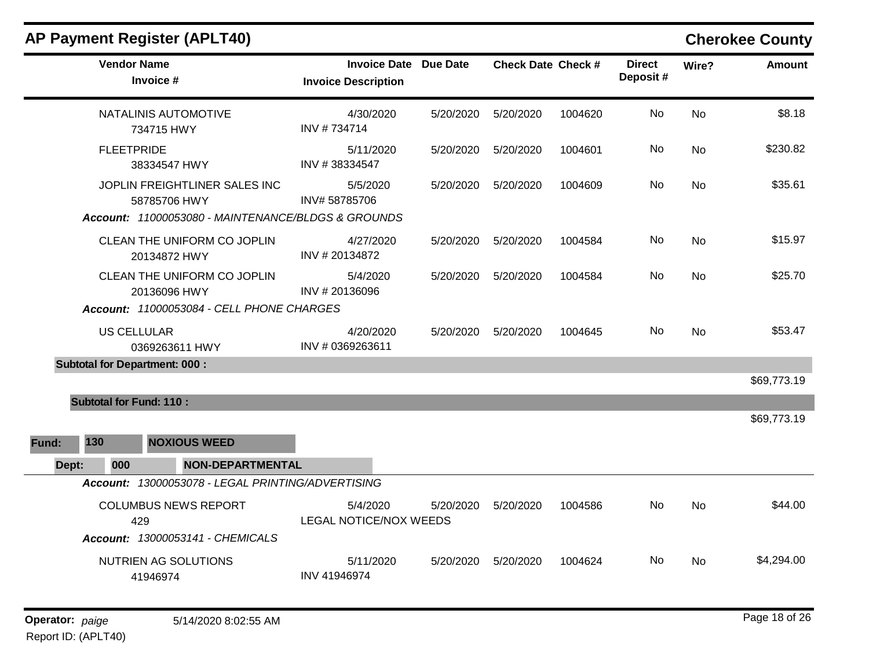|       | <b>Vendor Name</b><br>Invoice #                                                                     |                                                   | <b>Invoice Description</b>                | <b>Invoice Date Due Date</b> | <b>Check Date Check #</b> |         | <b>Direct</b><br>Deposit# | Wire?     | <b>Amount</b> |
|-------|-----------------------------------------------------------------------------------------------------|---------------------------------------------------|-------------------------------------------|------------------------------|---------------------------|---------|---------------------------|-----------|---------------|
|       |                                                                                                     | NATALINIS AUTOMOTIVE<br>734715 HWY                | 4/30/2020<br>INV #734714                  | 5/20/2020                    | 5/20/2020                 | 1004620 | No                        | <b>No</b> | \$8.18        |
|       | <b>FLEETPRIDE</b>                                                                                   | 38334547 HWY                                      | 5/11/2020<br>INV #38334547                | 5/20/2020                    | 5/20/2020                 | 1004601 | No                        | <b>No</b> | \$230.82      |
|       | JOPLIN FREIGHTLINER SALES INC<br>58785706 HWY<br>Account: 11000053080 - MAINTENANCE/BLDGS & GROUNDS |                                                   | 5/5/2020<br>INV#58785706                  | 5/20/2020                    | 5/20/2020                 | 1004609 | No                        | <b>No</b> | \$35.61       |
|       |                                                                                                     |                                                   |                                           |                              |                           |         |                           |           |               |
|       | CLEAN THE UNIFORM CO JOPLIN<br>20134872 HWY                                                         |                                                   | 4/27/2020<br>INV #20134872                | 5/20/2020                    | 5/20/2020                 | 1004584 | No.                       | No        | \$15.97       |
|       | CLEAN THE UNIFORM CO JOPLIN<br>20136096 HWY                                                         |                                                   | 5/4/2020<br>INV #20136096                 | 5/20/2020                    | 5/20/2020                 | 1004584 | No                        | <b>No</b> | \$25.70       |
|       |                                                                                                     | Account: 11000053084 - CELL PHONE CHARGES         |                                           |                              |                           |         |                           |           |               |
|       | <b>US CELLULAR</b>                                                                                  | 0369263611 HWY                                    | 4/20/2020<br>INV #0369263611              | 5/20/2020                    | 5/20/2020                 | 1004645 | No                        | No        | \$53.47       |
|       | <b>Subtotal for Department: 000:</b>                                                                |                                                   |                                           |                              |                           |         |                           |           |               |
|       |                                                                                                     |                                                   |                                           |                              |                           |         |                           |           | \$69,773.19   |
|       | <b>Subtotal for Fund: 110:</b>                                                                      |                                                   |                                           |                              |                           |         |                           |           | \$69,773.19   |
| Fund: | 130                                                                                                 | <b>NOXIOUS WEED</b>                               |                                           |                              |                           |         |                           |           |               |
| Dept: | 000                                                                                                 | <b>NON-DEPARTMENTAL</b>                           |                                           |                              |                           |         |                           |           |               |
|       |                                                                                                     | Account: 13000053078 - LEGAL PRINTING/ADVERTISING |                                           |                              |                           |         |                           |           |               |
|       | <b>COLUMBUS NEWS REPORT</b><br>429                                                                  |                                                   | 5/4/2020<br><b>LEGAL NOTICE/NOX WEEDS</b> | 5/20/2020                    | 5/20/2020                 | 1004586 | No                        | <b>No</b> | \$44.00       |
|       |                                                                                                     | Account: 13000053141 - CHEMICALS                  |                                           |                              |                           |         |                           |           |               |
|       | NUTRIEN AG SOLUTIONS<br>41946974                                                                    |                                                   | 5/11/2020<br>INV 41946974                 | 5/20/2020                    | 5/20/2020                 | 1004624 | No                        | <b>No</b> | \$4,294.00    |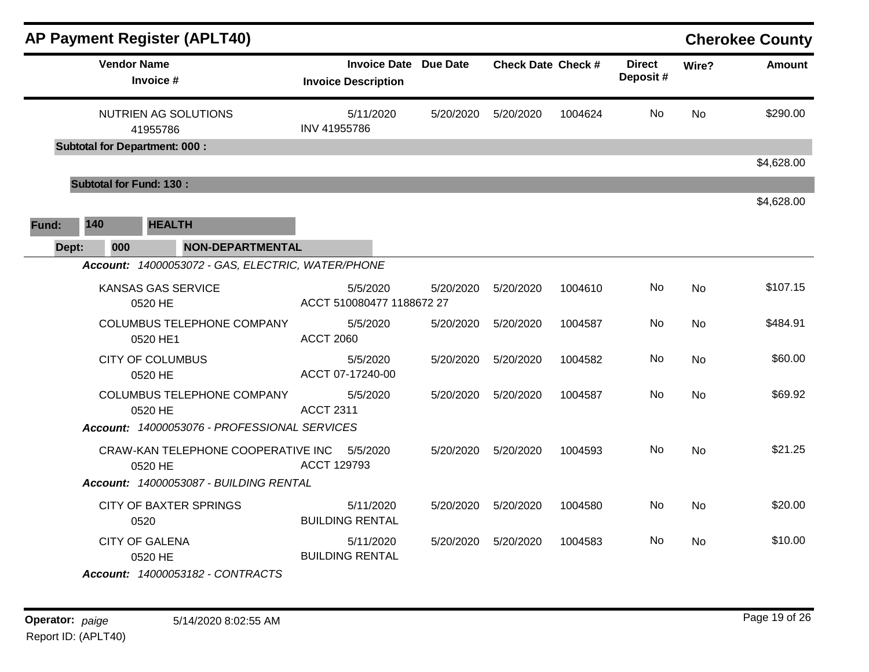|       | <b>AP Payment Register (APLT40)</b><br><b>Cherokee County</b> |                                                   |                                                            |           |                           |         |                           |           |               |  |
|-------|---------------------------------------------------------------|---------------------------------------------------|------------------------------------------------------------|-----------|---------------------------|---------|---------------------------|-----------|---------------|--|
|       |                                                               | <b>Vendor Name</b><br>Invoice #                   | <b>Invoice Date Due Date</b><br><b>Invoice Description</b> |           | <b>Check Date Check #</b> |         | <b>Direct</b><br>Deposit# | Wire?     | <b>Amount</b> |  |
|       |                                                               | NUTRIEN AG SOLUTIONS<br>41955786                  | 5/11/2020<br>INV 41955786                                  | 5/20/2020 | 5/20/2020                 | 1004624 | No                        | <b>No</b> | \$290.00      |  |
|       |                                                               | <b>Subtotal for Department: 000:</b>              |                                                            |           |                           |         |                           |           |               |  |
|       |                                                               | <b>Subtotal for Fund: 130:</b>                    |                                                            |           |                           |         |                           |           | \$4,628.00    |  |
|       |                                                               |                                                   |                                                            |           |                           |         |                           |           | \$4,628.00    |  |
| Fund: | 140                                                           | <b>HEALTH</b>                                     |                                                            |           |                           |         |                           |           |               |  |
| Dept: | 000                                                           | <b>NON-DEPARTMENTAL</b>                           |                                                            |           |                           |         |                           |           |               |  |
|       |                                                               | Account: 14000053072 - GAS, ELECTRIC, WATER/PHONE |                                                            |           |                           |         |                           |           |               |  |
|       |                                                               | <b>KANSAS GAS SERVICE</b><br>0520 HE              | 5/5/2020<br>ACCT 510080477 1188672 27                      | 5/20/2020 | 5/20/2020                 | 1004610 | No                        | <b>No</b> | \$107.15      |  |
|       |                                                               | <b>COLUMBUS TELEPHONE COMPANY</b><br>0520 HE1     | 5/5/2020<br><b>ACCT 2060</b>                               | 5/20/2020 | 5/20/2020                 | 1004587 | No                        | <b>No</b> | \$484.91      |  |
|       |                                                               | <b>CITY OF COLUMBUS</b><br>0520 HE                | 5/5/2020<br>ACCT 07-17240-00                               | 5/20/2020 | 5/20/2020                 | 1004582 | No                        | <b>No</b> | \$60.00       |  |
|       |                                                               | COLUMBUS TELEPHONE COMPANY<br>0520 HE             | 5/5/2020<br><b>ACCT 2311</b>                               | 5/20/2020 | 5/20/2020                 | 1004587 | No.                       | <b>No</b> | \$69.92       |  |
|       |                                                               | Account: 14000053076 - PROFESSIONAL SERVICES      |                                                            |           |                           |         |                           |           |               |  |
|       |                                                               | CRAW-KAN TELEPHONE COOPERATIVE INC<br>0520 HE     | 5/5/2020<br>ACCT 129793                                    | 5/20/2020 | 5/20/2020                 | 1004593 | No                        | <b>No</b> | \$21.25       |  |
|       |                                                               | Account: 14000053087 - BUILDING RENTAL            |                                                            |           |                           |         |                           |           |               |  |
|       | <b>CITY OF BAXTER SPRINGS</b><br>0520                         |                                                   | 5/11/2020<br><b>BUILDING RENTAL</b>                        | 5/20/2020 | 5/20/2020                 | 1004580 | No                        | <b>No</b> | \$20.00       |  |
|       |                                                               | <b>CITY OF GALENA</b><br>0520 HE                  | 5/11/2020<br><b>BUILDING RENTAL</b>                        | 5/20/2020 | 5/20/2020                 | 1004583 | No                        | <b>No</b> | \$10.00       |  |
|       |                                                               | Account: 14000053182 - CONTRACTS                  |                                                            |           |                           |         |                           |           |               |  |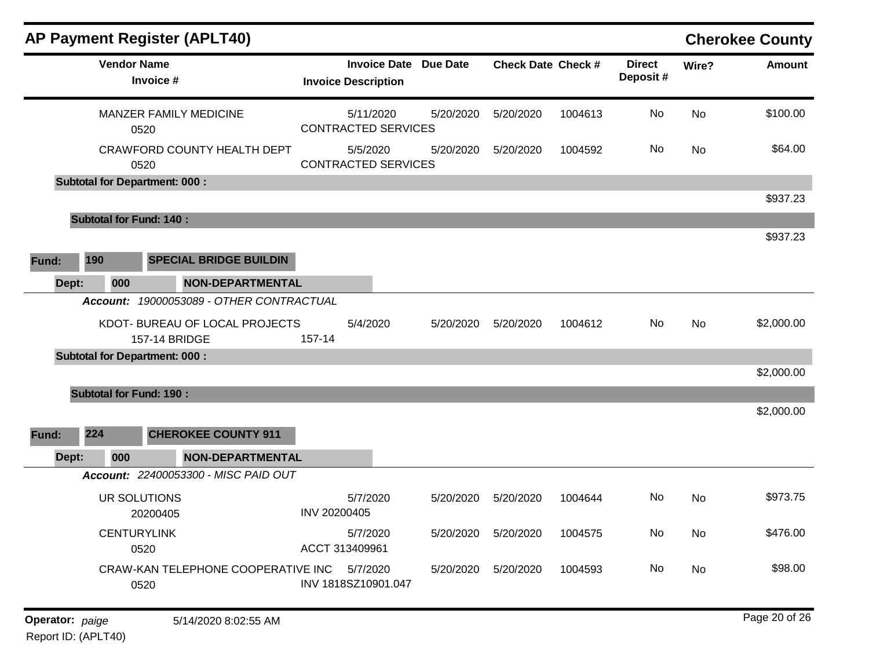|     |                                                                                                                                                                                                                                                                                                                                                                                                                                                       |                                                                                                                                                                          |                                                                                                                                    |                                                          |           |                           |           | <b>Cherokee County</b> |
|-----|-------------------------------------------------------------------------------------------------------------------------------------------------------------------------------------------------------------------------------------------------------------------------------------------------------------------------------------------------------------------------------------------------------------------------------------------------------|--------------------------------------------------------------------------------------------------------------------------------------------------------------------------|------------------------------------------------------------------------------------------------------------------------------------|----------------------------------------------------------|-----------|---------------------------|-----------|------------------------|
|     |                                                                                                                                                                                                                                                                                                                                                                                                                                                       | <b>Invoice Date</b>                                                                                                                                                      | <b>Due Date</b>                                                                                                                    |                                                          |           | <b>Direct</b><br>Deposit# | Wire?     | <b>Amount</b>          |
|     |                                                                                                                                                                                                                                                                                                                                                                                                                                                       | 5/11/2020                                                                                                                                                                | 5/20/2020                                                                                                                          | 5/20/2020                                                | 1004613   | No                        | <b>No</b> | \$100.00               |
|     |                                                                                                                                                                                                                                                                                                                                                                                                                                                       | 5/5/2020                                                                                                                                                                 | 5/20/2020                                                                                                                          | 5/20/2020                                                | 1004592   | No.                       | No        | \$64.00                |
|     |                                                                                                                                                                                                                                                                                                                                                                                                                                                       |                                                                                                                                                                          |                                                                                                                                    |                                                          |           |                           |           |                        |
|     |                                                                                                                                                                                                                                                                                                                                                                                                                                                       |                                                                                                                                                                          |                                                                                                                                    |                                                          |           |                           |           | \$937.23               |
|     |                                                                                                                                                                                                                                                                                                                                                                                                                                                       |                                                                                                                                                                          |                                                                                                                                    |                                                          |           |                           |           | \$937.23               |
| 190 |                                                                                                                                                                                                                                                                                                                                                                                                                                                       |                                                                                                                                                                          |                                                                                                                                    |                                                          |           |                           |           |                        |
| 000 |                                                                                                                                                                                                                                                                                                                                                                                                                                                       |                                                                                                                                                                          |                                                                                                                                    |                                                          |           |                           |           |                        |
|     |                                                                                                                                                                                                                                                                                                                                                                                                                                                       |                                                                                                                                                                          |                                                                                                                                    |                                                          |           |                           |           |                        |
|     | 157-14                                                                                                                                                                                                                                                                                                                                                                                                                                                | 5/4/2020                                                                                                                                                                 | 5/20/2020                                                                                                                          | 5/20/2020                                                | 1004612   | No                        | No        | \$2,000.00             |
|     |                                                                                                                                                                                                                                                                                                                                                                                                                                                       |                                                                                                                                                                          |                                                                                                                                    |                                                          |           |                           |           |                        |
|     |                                                                                                                                                                                                                                                                                                                                                                                                                                                       |                                                                                                                                                                          |                                                                                                                                    |                                                          |           |                           |           | \$2,000.00             |
|     |                                                                                                                                                                                                                                                                                                                                                                                                                                                       |                                                                                                                                                                          |                                                                                                                                    |                                                          |           |                           |           |                        |
| 224 |                                                                                                                                                                                                                                                                                                                                                                                                                                                       |                                                                                                                                                                          |                                                                                                                                    |                                                          |           |                           |           | \$2,000.00             |
| 000 |                                                                                                                                                                                                                                                                                                                                                                                                                                                       |                                                                                                                                                                          |                                                                                                                                    |                                                          |           |                           |           |                        |
|     |                                                                                                                                                                                                                                                                                                                                                                                                                                                       |                                                                                                                                                                          |                                                                                                                                    |                                                          |           |                           |           |                        |
|     |                                                                                                                                                                                                                                                                                                                                                                                                                                                       | 5/7/2020                                                                                                                                                                 | 5/20/2020                                                                                                                          | 5/20/2020                                                | 1004644   | No.                       | No        | \$973.75               |
|     |                                                                                                                                                                                                                                                                                                                                                                                                                                                       | 5/7/2020                                                                                                                                                                 |                                                                                                                                    | 5/20/2020                                                | 1004575   | No                        | No        | \$476.00               |
|     |                                                                                                                                                                                                                                                                                                                                                                                                                                                       |                                                                                                                                                                          | 5/20/2020                                                                                                                          | 5/20/2020                                                | 1004593   | No                        | No        | \$98.00                |
|     | AP Payment Register (APLT40)<br><b>Vendor Name</b><br>Invoice #<br><b>MANZER FAMILY MEDICINE</b><br>0520<br>CRAWFORD COUNTY HEALTH DEPT<br>0520<br><b>Subtotal for Department: 000:</b><br><b>Subtotal for Fund: 140:</b><br><b>SPECIAL BRIDGE BUILDIN</b><br>157-14 BRIDGE<br><b>Subtotal for Department: 000:</b><br><b>Subtotal for Fund: 190:</b><br><b>CHEROKEE COUNTY 911</b><br>UR SOLUTIONS<br>20200405<br><b>CENTURYLINK</b><br>0520<br>0520 | <b>NON-DEPARTMENTAL</b><br>Account: 19000053089 - OTHER CONTRACTUAL<br>KDOT- BUREAU OF LOCAL PROJECTS<br><b>NON-DEPARTMENTAL</b><br>Account: 22400053300 - MISC PAID OUT | <b>Invoice Description</b><br>INV 20200405<br>ACCT 313409961<br>CRAW-KAN TELEPHONE COOPERATIVE INC 5/7/2020<br>INV 1818SZ10901.047 | <b>CONTRACTED SERVICES</b><br><b>CONTRACTED SERVICES</b> | 5/20/2020 | <b>Check Date Check #</b> |           |                        |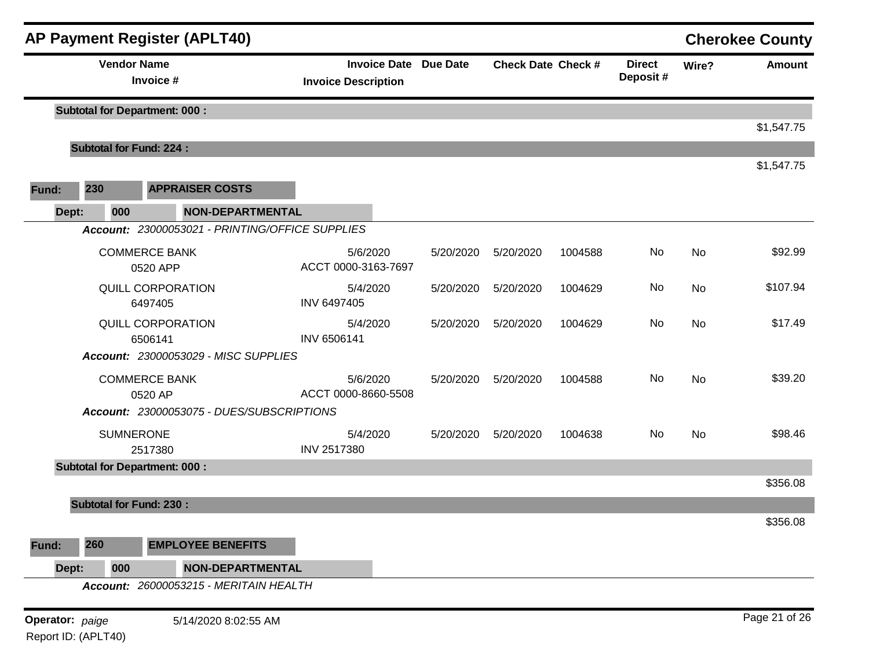|                 | <b>AP Payment Register (APLT40)</b><br><b>Cherokee County</b> |                                                 |                                                            |           |                           |         |                           |           |               |  |
|-----------------|---------------------------------------------------------------|-------------------------------------------------|------------------------------------------------------------|-----------|---------------------------|---------|---------------------------|-----------|---------------|--|
|                 |                                                               | <b>Vendor Name</b><br>Invoice #                 | <b>Invoice Date Due Date</b><br><b>Invoice Description</b> |           | <b>Check Date Check #</b> |         | <b>Direct</b><br>Deposit# | Wire?     | <b>Amount</b> |  |
|                 |                                                               | <b>Subtotal for Department: 000:</b>            |                                                            |           |                           |         |                           |           | \$1,547.75    |  |
|                 | <b>Subtotal for Fund: 224:</b>                                |                                                 |                                                            |           |                           |         |                           |           |               |  |
|                 |                                                               |                                                 |                                                            |           |                           |         |                           |           | \$1,547.75    |  |
| Fund:           | 230                                                           | <b>APPRAISER COSTS</b>                          |                                                            |           |                           |         |                           |           |               |  |
| Dept:           | 000                                                           | NON-DEPARTMENTAL                                |                                                            |           |                           |         |                           |           |               |  |
|                 |                                                               | Account: 23000053021 - PRINTING/OFFICE SUPPLIES |                                                            |           |                           |         |                           |           |               |  |
|                 | <b>COMMERCE BANK</b><br>0520 APP                              |                                                 | 5/6/2020<br>ACCT 0000-3163-7697                            | 5/20/2020 | 5/20/2020                 | 1004588 | No                        | <b>No</b> | \$92.99       |  |
|                 | QUILL CORPORATION<br>6497405                                  |                                                 | 5/4/2020<br>INV 6497405                                    | 5/20/2020 | 5/20/2020                 | 1004629 | No                        | No        | \$107.94      |  |
|                 |                                                               | QUILL CORPORATION<br>6506141                    | 5/4/2020<br>INV 6506141                                    | 5/20/2020 | 5/20/2020                 | 1004629 | No                        | <b>No</b> | \$17.49       |  |
|                 |                                                               | Account: 23000053029 - MISC SUPPLIES            |                                                            |           |                           |         |                           |           |               |  |
|                 |                                                               | <b>COMMERCE BANK</b><br>0520 AP                 | 5/6/2020<br>ACCT 0000-8660-5508                            | 5/20/2020 | 5/20/2020                 | 1004588 | No                        | <b>No</b> | \$39.20       |  |
|                 |                                                               | Account: 23000053075 - DUES/SUBSCRIPTIONS       |                                                            |           |                           |         |                           |           |               |  |
|                 |                                                               | <b>SUMNERONE</b><br>2517380                     | 5/4/2020<br>INV 2517380                                    | 5/20/2020 | 5/20/2020                 | 1004638 | No                        | No        | \$98.46       |  |
|                 |                                                               | <b>Subtotal for Department: 000:</b>            |                                                            |           |                           |         |                           |           |               |  |
|                 |                                                               |                                                 |                                                            |           |                           |         |                           |           | \$356.08      |  |
|                 | <b>Subtotal for Fund: 230:</b>                                |                                                 |                                                            |           |                           |         |                           |           | \$356.08      |  |
| Fund:           | 260                                                           | <b>EMPLOYEE BENEFITS</b>                        |                                                            |           |                           |         |                           |           |               |  |
| Dept:           | 000                                                           | <b>NON-DEPARTMENTAL</b>                         |                                                            |           |                           |         |                           |           |               |  |
|                 |                                                               | Account: 26000053215 - MERITAIN HEALTH          |                                                            |           |                           |         |                           |           |               |  |
| Operator: paige |                                                               | 5/14/2020 8:02:55 AM                            |                                                            |           |                           |         |                           |           | Page 21 of 26 |  |

Report ID: (APLT40)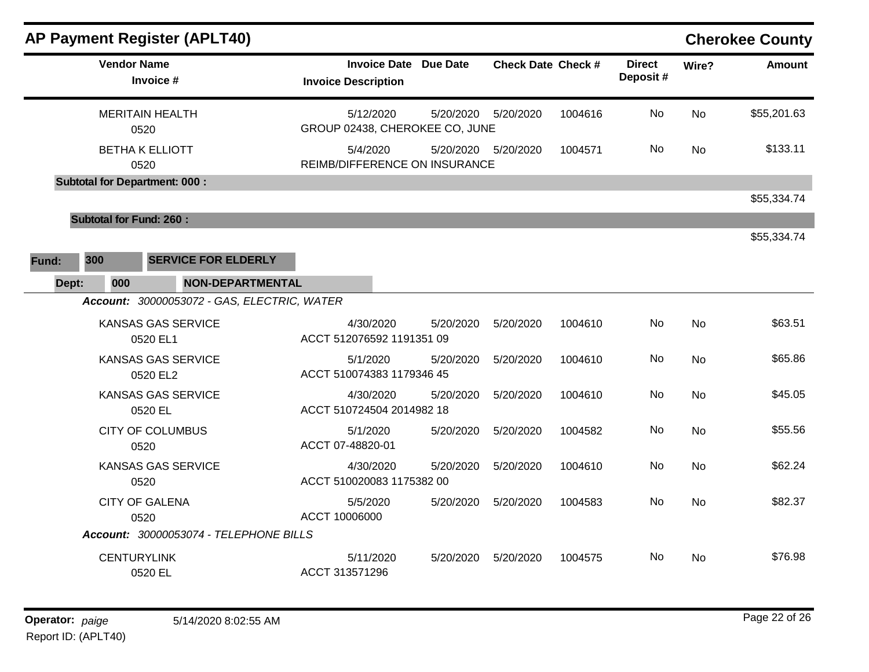|       |                                             |                    | <b>AP Payment Register (APLT40)</b>    |                                                            |           |                           |         |                           |           | <b>Cherokee County</b> |
|-------|---------------------------------------------|--------------------|----------------------------------------|------------------------------------------------------------|-----------|---------------------------|---------|---------------------------|-----------|------------------------|
|       |                                             | <b>Vendor Name</b> | Invoice #                              | <b>Invoice Date Due Date</b><br><b>Invoice Description</b> |           | <b>Check Date Check #</b> |         | <b>Direct</b><br>Deposit# | Wire?     | <b>Amount</b>          |
|       |                                             |                    | <b>MERITAIN HEALTH</b><br>0520         | 5/12/2020<br>GROUP 02438, CHEROKEE CO, JUNE                | 5/20/2020 | 5/20/2020                 | 1004616 | No                        | <b>No</b> | \$55,201.63            |
|       |                                             |                    | <b>BETHA K ELLIOTT</b><br>0520         | 5/4/2020<br>REIMB/DIFFERENCE ON INSURANCE                  |           | 5/20/2020  5/20/2020      | 1004571 | No                        | <b>No</b> | \$133.11               |
|       |                                             |                    | <b>Subtotal for Department: 000:</b>   |                                                            |           |                           |         |                           |           |                        |
|       |                                             |                    |                                        |                                                            |           |                           |         |                           |           | \$55,334.74            |
|       |                                             |                    | <b>Subtotal for Fund: 260:</b>         |                                                            |           |                           |         |                           |           |                        |
|       |                                             |                    |                                        |                                                            |           |                           |         |                           |           | \$55,334.74            |
| Fund: | 300                                         |                    | <b>SERVICE FOR ELDERLY</b>             |                                                            |           |                           |         |                           |           |                        |
|       | Dept:                                       | 000                | <b>NON-DEPARTMENTAL</b>                |                                                            |           |                           |         |                           |           |                        |
|       | Account: 30000053072 - GAS, ELECTRIC, WATER |                    |                                        |                                                            |           |                           |         |                           |           |                        |
|       |                                             |                    | KANSAS GAS SERVICE<br>0520 EL1         | 4/30/2020<br>ACCT 512076592 1191351 09                     | 5/20/2020 | 5/20/2020                 | 1004610 | No.                       | No        | \$63.51                |
|       |                                             |                    | <b>KANSAS GAS SERVICE</b><br>0520 EL2  | 5/1/2020<br>ACCT 510074383 1179346 45                      | 5/20/2020 | 5/20/2020                 | 1004610 | No                        | <b>No</b> | \$65.86                |
|       |                                             |                    | <b>KANSAS GAS SERVICE</b><br>0520 EL   | 4/30/2020<br>ACCT 510724504 2014982 18                     | 5/20/2020 | 5/20/2020                 | 1004610 | No.                       | No        | \$45.05                |
|       |                                             |                    | <b>CITY OF COLUMBUS</b><br>0520        | 5/1/2020<br>ACCT 07-48820-01                               | 5/20/2020 | 5/20/2020                 | 1004582 | No.                       | No        | \$55.56                |
|       | <b>KANSAS GAS SERVICE</b><br>0520           |                    | 4/30/2020<br>ACCT 510020083 1175382 00 | 5/20/2020                                                  | 5/20/2020 | 1004610                   | No      | No                        | \$62.24   |                        |
|       | <b>CITY OF GALENA</b><br>0520               |                    | 5/5/2020<br>ACCT 10006000              | 5/20/2020                                                  | 5/20/2020 | 1004583                   | No.     | <b>No</b>                 | \$82.37   |                        |
|       |                                             |                    | Account: 30000053074 - TELEPHONE BILLS |                                                            |           |                           |         |                           |           |                        |
|       |                                             | <b>CENTURYLINK</b> | 0520 EL                                | 5/11/2020<br>ACCT 313571296                                | 5/20/2020 | 5/20/2020                 | 1004575 | No.                       | No        | \$76.98                |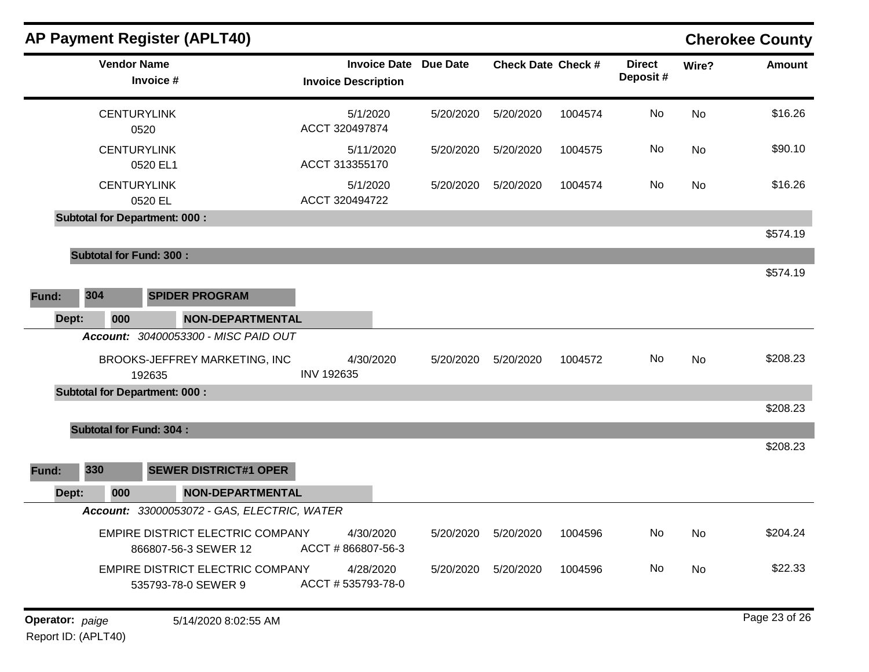|              | <b>AP Payment Register (APLT40)</b>                             |                                                   |           |                           |         |                           |           | <b>Cherokee County</b> |
|--------------|-----------------------------------------------------------------|---------------------------------------------------|-----------|---------------------------|---------|---------------------------|-----------|------------------------|
|              | <b>Vendor Name</b><br>Invoice #                                 | <b>Invoice Date</b><br><b>Invoice Description</b> | Due Date  | <b>Check Date Check #</b> |         | <b>Direct</b><br>Deposit# | Wire?     | <b>Amount</b>          |
|              | <b>CENTURYLINK</b><br>0520                                      | 5/1/2020<br>ACCT 320497874                        | 5/20/2020 | 5/20/2020                 | 1004574 | No.                       | <b>No</b> | \$16.26                |
|              | <b>CENTURYLINK</b><br>0520 EL1                                  | 5/11/2020<br>ACCT 313355170                       | 5/20/2020 | 5/20/2020                 | 1004575 | No                        | <b>No</b> | \$90.10                |
|              | <b>CENTURYLINK</b><br>0520 EL                                   | 5/1/2020<br>ACCT 320494722                        | 5/20/2020 | 5/20/2020                 | 1004574 | No.                       | <b>No</b> | \$16.26                |
|              | <b>Subtotal for Department: 000:</b>                            |                                                   |           |                           |         |                           |           |                        |
|              |                                                                 |                                                   |           |                           |         |                           |           | \$574.19               |
|              | <b>Subtotal for Fund: 300:</b>                                  |                                                   |           |                           |         |                           |           |                        |
|              |                                                                 |                                                   |           |                           |         |                           |           | \$574.19               |
| 304<br>Fund: | <b>SPIDER PROGRAM</b>                                           |                                                   |           |                           |         |                           |           |                        |
| Dept:        | 000<br>NON-DEPARTMENTAL                                         |                                                   |           |                           |         |                           |           |                        |
|              | Account: 30400053300 - MISC PAID OUT                            |                                                   |           |                           |         |                           |           |                        |
|              | BROOKS-JEFFREY MARKETING, INC<br>192635                         | 4/30/2020<br><b>INV 192635</b>                    | 5/20/2020 | 5/20/2020                 | 1004572 | No.                       | No        | \$208.23               |
|              | <b>Subtotal for Department: 000:</b>                            |                                                   |           |                           |         |                           |           |                        |
|              |                                                                 |                                                   |           |                           |         |                           |           | \$208.23               |
|              | <b>Subtotal for Fund: 304:</b>                                  |                                                   |           |                           |         |                           |           |                        |
|              |                                                                 |                                                   |           |                           |         |                           |           | \$208.23               |
| 330<br>Fund: | <b>SEWER DISTRICT#1 OPER</b>                                    |                                                   |           |                           |         |                           |           |                        |
| Dept:        | 000<br><b>NON-DEPARTMENTAL</b>                                  |                                                   |           |                           |         |                           |           |                        |
|              | Account: 33000053072 - GAS, ELECTRIC, WATER                     |                                                   |           |                           |         |                           |           |                        |
|              | <b>EMPIRE DISTRICT ELECTRIC COMPANY</b><br>866807-56-3 SEWER 12 | 4/30/2020<br>ACCT #866807-56-3                    | 5/20/2020 | 5/20/2020                 | 1004596 | No                        | <b>No</b> | \$204.24               |
|              | EMPIRE DISTRICT ELECTRIC COMPANY<br>535793-78-0 SEWER 9         | 4/28/2020<br>ACCT #535793-78-0                    | 5/20/2020 | 5/20/2020                 | 1004596 | No                        | <b>No</b> | \$22.33                |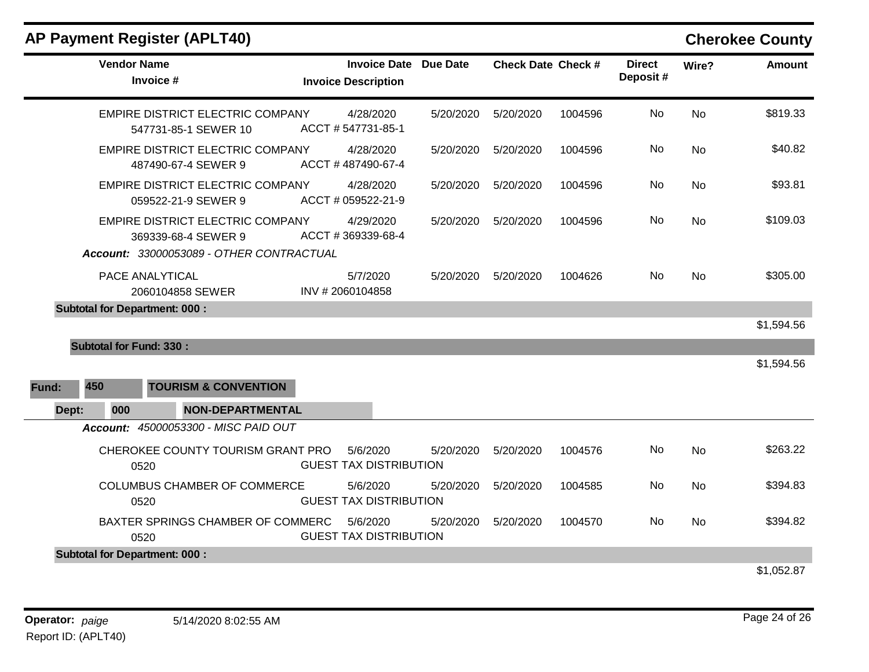|       |                    | <b>AP Payment Register (APLT40)</b>                             |                                                   |                 |                           |         |                           |           | <b>Cherokee County</b> |
|-------|--------------------|-----------------------------------------------------------------|---------------------------------------------------|-----------------|---------------------------|---------|---------------------------|-----------|------------------------|
|       | <b>Vendor Name</b> | Invoice #                                                       | <b>Invoice Date</b><br><b>Invoice Description</b> | <b>Due Date</b> | <b>Check Date Check #</b> |         | <b>Direct</b><br>Deposit# | Wire?     | <b>Amount</b>          |
|       |                    | <b>EMPIRE DISTRICT ELECTRIC COMPANY</b><br>547731-85-1 SEWER 10 | 4/28/2020<br>ACCT #547731-85-1                    | 5/20/2020       | 5/20/2020                 | 1004596 | No.                       | <b>No</b> | \$819.33               |
|       |                    | <b>EMPIRE DISTRICT ELECTRIC COMPANY</b><br>487490-67-4 SEWER 9  | 4/28/2020<br>ACCT #487490-67-4                    | 5/20/2020       | 5/20/2020                 | 1004596 | No                        | No        | \$40.82                |
|       |                    | <b>EMPIRE DISTRICT ELECTRIC COMPANY</b><br>059522-21-9 SEWER 9  | 4/28/2020<br>ACCT # 059522-21-9                   | 5/20/2020       | 5/20/2020                 | 1004596 | No                        | <b>No</b> | \$93.81                |
|       |                    | EMPIRE DISTRICT ELECTRIC COMPANY<br>369339-68-4 SEWER 9         | 4/29/2020<br>ACCT #369339-68-4                    | 5/20/2020       | 5/20/2020                 | 1004596 | No                        | No        | \$109.03               |
|       |                    | Account: 33000053089 - OTHER CONTRACTUAL                        |                                                   |                 |                           |         |                           |           |                        |
|       |                    | PACE ANALYTICAL<br>2060104858 SEWER                             | 5/7/2020<br>INV #2060104858                       | 5/20/2020       | 5/20/2020                 | 1004626 | <b>No</b>                 | <b>No</b> | \$305.00               |
|       |                    | <b>Subtotal for Department: 000:</b>                            |                                                   |                 |                           |         |                           |           |                        |
|       |                    |                                                                 |                                                   |                 |                           |         |                           |           | \$1,594.56             |
|       |                    | <b>Subtotal for Fund: 330:</b>                                  |                                                   |                 |                           |         |                           |           |                        |
|       |                    |                                                                 |                                                   |                 |                           |         |                           |           | \$1,594.56             |
| Fund: | 450                | <b>TOURISM &amp; CONVENTION</b>                                 |                                                   |                 |                           |         |                           |           |                        |
| Dept: | 000                | <b>NON-DEPARTMENTAL</b>                                         |                                                   |                 |                           |         |                           |           |                        |
|       |                    | Account: 45000053300 - MISC PAID OUT                            |                                                   |                 |                           |         |                           |           |                        |
|       |                    | CHEROKEE COUNTY TOURISM GRANT PRO<br>0520                       | 5/6/2020<br><b>GUEST TAX DISTRIBUTION</b>         | 5/20/2020       | 5/20/2020                 | 1004576 | No                        | No        | \$263.22               |
|       |                    | <b>COLUMBUS CHAMBER OF COMMERCE</b><br>0520                     | 5/6/2020<br><b>GUEST TAX DISTRIBUTION</b>         | 5/20/2020       | 5/20/2020                 | 1004585 | No                        | <b>No</b> | \$394.83               |
|       |                    | BAXTER SPRINGS CHAMBER OF COMMERC<br>0520                       | 5/6/2020<br><b>GUEST TAX DISTRIBUTION</b>         | 5/20/2020       | 5/20/2020                 | 1004570 | No.                       | No        | \$394.82               |
|       |                    | <b>Subtotal for Department: 000:</b>                            |                                                   |                 |                           |         |                           |           |                        |
|       |                    |                                                                 |                                                   |                 |                           |         |                           |           | \$1,052.87             |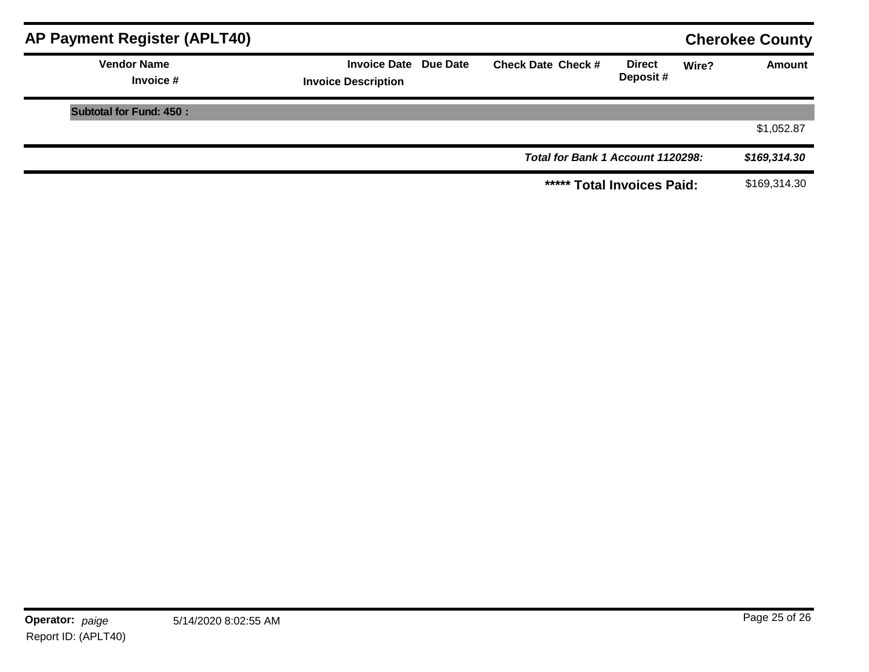| AP Payment Register (APLT40)    |                                                            |                                   |                           | <b>Cherokee County</b> |               |
|---------------------------------|------------------------------------------------------------|-----------------------------------|---------------------------|------------------------|---------------|
| <b>Vendor Name</b><br>Invoice # | <b>Invoice Date Due Date</b><br><b>Invoice Description</b> | <b>Check Date Check #</b>         | <b>Direct</b><br>Deposit# | Wire?                  | <b>Amount</b> |
| <b>Subtotal for Fund: 450:</b>  |                                                            |                                   |                           |                        |               |
|                                 |                                                            |                                   |                           |                        | \$1,052.87    |
|                                 |                                                            | Total for Bank 1 Account 1120298: |                           |                        | \$169,314.30  |
|                                 |                                                            | ***** Total Invoices Paid:        |                           |                        | \$169,314.30  |